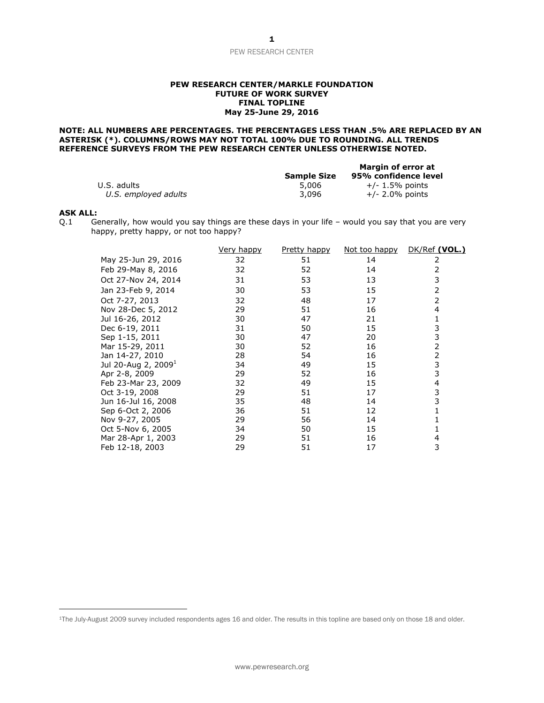#### **PEW RESEARCH CENTER/MARKLE FOUNDATION FUTURE OF WORK SURVEY FINAL TOPLINE May 25-June 29, 2016**

## **NOTE: ALL NUMBERS ARE PERCENTAGES. THE PERCENTAGES LESS THAN .5% ARE REPLACED BY AN ASTERISK (\*). COLUMNS/ROWS MAY NOT TOTAL 100% DUE TO ROUNDING. ALL TRENDS REFERENCE SURVEYS FROM THE PEW RESEARCH CENTER UNLESS OTHERWISE NOTED.**

|                      |                    | Margin of error at   |
|----------------------|--------------------|----------------------|
|                      | <b>Sample Size</b> | 95% confidence level |
| U.S. adults          | 5,006              | $+/- 1.5\%$ points   |
| U.S. employed adults | 3.096              | $+/- 2.0\%$ points   |

## **ASK ALL:**

Q.1 Generally, how would you say things are these days in your life – would you say that you are very happy, pretty happy, or not too happy?

|                         | Very happy | Pretty happy | <u>Not too happy</u> | DK/Ref (VOL.) |
|-------------------------|------------|--------------|----------------------|---------------|
| May 25-Jun 29, 2016     | 32         | 51           | 14                   | 2             |
| Feb 29-May 8, 2016      | 32         | 52           | 14                   | 2             |
| Oct 27-Nov 24, 2014     | 31         | 53           | 13                   | 3             |
| Jan 23-Feb 9, 2014      | 30         | 53           | 15                   | 2             |
| Oct 7-27, 2013          | 32         | 48           | 17                   | 2             |
| Nov 28-Dec 5, 2012      | 29         | 51           | 16                   | 4             |
| Jul 16-26, 2012         | 30         | 47           | 21                   | 1             |
| Dec 6-19, 2011          | 31         | 50           | 15                   | 3             |
| Sep 1-15, 2011          | 30         | 47           | 20                   | 3             |
| Mar 15-29, 2011         | 30         | 52           | 16                   | 2             |
| Jan 14-27, 2010         | 28         | 54           | 16                   | 2             |
| Jul 20-Aug 2, 2009 $^1$ | 34         | 49           | 15                   | 3             |
| Apr 2-8, 2009           | 29         | 52           | 16                   | 3             |
| Feb 23-Mar 23, 2009     | 32         | 49           | 15                   | 4             |
| Oct 3-19, 2008          | 29         | 51           | 17                   | 3             |
| Jun 16-Jul 16, 2008     | 35         | 48           | 14                   | 3             |
| Sep 6-Oct 2, 2006       | 36         | 51           | 12                   |               |
| Nov 9-27, 2005          | 29         | 56           | 14                   |               |
| Oct 5-Nov 6, 2005       | 34         | 50           | 15                   |               |
| Mar 28-Apr 1, 2003      | 29         | 51           | 16                   | 4             |
| Feb 12-18, 2003         | 29         | 51           | 17                   | 3             |

<sup>1</sup>The July-August 2009 survey included respondents ages 16 and older. The results in this topline are based only on those 18 and older.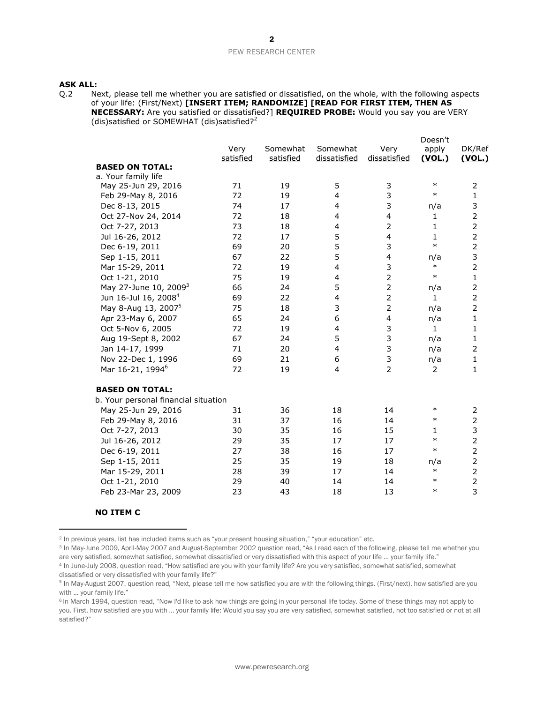# **ASK ALL:**

Q.2 Next, please tell me whether you are satisfied or dissatisfied, on the whole, with the following aspects of your life: (First/Next) **[INSERT ITEM; RANDOMIZE] [READ FOR FIRST ITEM, THEN AS NECESSARY:** Are you satisfied or dissatisfied?] **REQUIRED PROBE:** Would you say you are VERY (dis) satisfied or SOMEWHAT (dis) satisfied?<sup>2</sup>

|                                      |           |           |                         |                         | Doesn't        |                |
|--------------------------------------|-----------|-----------|-------------------------|-------------------------|----------------|----------------|
|                                      | Very      | Somewhat  | Somewhat                | Very                    | apply          | DK/Ref         |
|                                      | satisfied | satisfied | dissatisfied            | dissatisfied            | <u>(VOL.)</u>  | (VOL.)         |
| <b>BASED ON TOTAL:</b>               |           |           |                         |                         |                |                |
| a. Your family life                  |           |           |                         |                         | $\ast$         |                |
| May 25-Jun 29, 2016                  | 71        | 19        | 5                       | 3                       |                | 2              |
| Feb 29-May 8, 2016                   | 72        | 19        | $\overline{4}$          | 3                       | $\ast$         | 1              |
| Dec 8-13, 2015                       | 74        | 17        | 4                       | 3                       | n/a            | 3              |
| Oct 27-Nov 24, 2014                  | 72        | 18        | 4                       | $\overline{\mathbf{4}}$ | 1              | $\mathbf 2$    |
| Oct 7-27, 2013                       | 73        | 18        | 4                       | $\overline{2}$          | 1              | $\mathbf 2$    |
| Jul 16-26, 2012                      | 72        | 17        | 5                       | $\overline{4}$          | $\mathbf{1}$   | $\overline{2}$ |
| Dec 6-19, 2011                       | 69        | 20        | 5                       | 3                       | $\ast$         | $\overline{2}$ |
| Sep 1-15, 2011                       | 67        | 22        | 5                       | $\overline{\mathbf{4}}$ | n/a            | 3              |
| Mar 15-29, 2011                      | 72        | 19        | $\overline{\mathbf{4}}$ | 3                       | $\ast$         | $\overline{2}$ |
| Oct 1-21, 2010                       | 75        | 19        | 4                       | $\overline{2}$          | $\ast$         | $\mathbf{1}$   |
| May 27-June 10, 2009 <sup>3</sup>    | 66        | 24        | 5                       | $\overline{2}$          | n/a            | $\mathbf 2$    |
| Jun 16-Jul 16, 2008 <sup>4</sup>     | 69        | 22        | 4                       | $\overline{2}$          | 1.             | $\overline{2}$ |
| May 8-Aug 13, 2007 <sup>5</sup>      | 75        | 18        | 3                       | $\overline{2}$          | n/a            | $\overline{2}$ |
| Apr 23-May 6, 2007                   | 65        | 24        | 6                       | $\overline{4}$          | n/a            | $\mathbf{1}$   |
| Oct 5-Nov 6, 2005                    | 72        | 19        | $\overline{\mathbf{4}}$ | 3                       | $\mathbf{1}$   | 1              |
| Aug 19-Sept 8, 2002                  | 67        | 24        | 5                       | 3                       | n/a            | 1              |
| Jan 14-17, 1999                      | 71        | 20        | 4                       | $\mathsf 3$             | n/a            | $\overline{2}$ |
| Nov 22-Dec 1, 1996                   | 69        | 21        | 6                       | 3                       | n/a            | $\mathbf{1}$   |
| Mar 16-21, 1994 <sup>6</sup>         | 72        | 19        | 4                       | $\overline{2}$          | $\overline{2}$ | $\mathbf 1$    |
| <b>BASED ON TOTAL:</b>               |           |           |                         |                         |                |                |
| b. Your personal financial situation |           |           |                         |                         |                |                |
| May 25-Jun 29, 2016                  | 31        | 36        | 18                      | 14                      | $\ast$         | 2              |
| Feb 29-May 8, 2016                   | 31        | 37        | 16                      | 14                      | $\ast$         | $\overline{2}$ |
| Oct 7-27, 2013                       | 30        | 35        | 16                      | 15                      | 1              | 3              |
| Jul 16-26, 2012                      | 29        | 35        | 17                      | 17                      | $\ast$         | $\overline{2}$ |
| Dec 6-19, 2011                       | 27        | 38        | 16                      | 17                      | $\ast$         | $\overline{2}$ |
| Sep 1-15, 2011                       | 25        | 35        | 19                      | 18                      | n/a            | $\overline{2}$ |
| Mar 15-29, 2011                      | 28        | 39        | 17                      | 14                      | $\ast$         | $\overline{2}$ |
| Oct 1-21, 2010                       | 29        | 40        | 14                      | 14                      | $\ast$         | $\overline{2}$ |
| Feb 23-Mar 23, 2009                  | 23        | 43        | 18                      | 13                      | $\ast$         | 3              |
|                                      |           |           |                         |                         |                |                |

# **NO ITEM C**

<sup>3</sup> In May-June 2009, April-May 2007 and August-September 2002 question read, "As I read each of the following, please tell me whether you are very satisfied, somewhat satisfied, somewhat dissatisfied or very dissatisfied with this aspect of your life ... your family life."

<sup>2</sup> In previous years, list has included items such as "your present housing situation," "your education" etc.

<sup>4</sup> In June-July 2008, question read, "How satisfied are you with your family life? Are you very satisfied, somewhat satisfied, somewhat dissatisfied or very dissatisfied with your family life?"

<sup>&</sup>lt;sup>5</sup> In May-August 2007, question read, "Next, please tell me how satisfied you are with the following things. (First/next), how satisfied are you with … your family life."

<sup>&</sup>lt;sup>6</sup> In March 1994, question read, "Now I'd like to ask how things are going in your personal life today. Some of these things may not apply to you. First, how satisfied are you with … your family life: Would you say you are very satisfied, somewhat satisfied, not too satisfied or not at all satisfied?"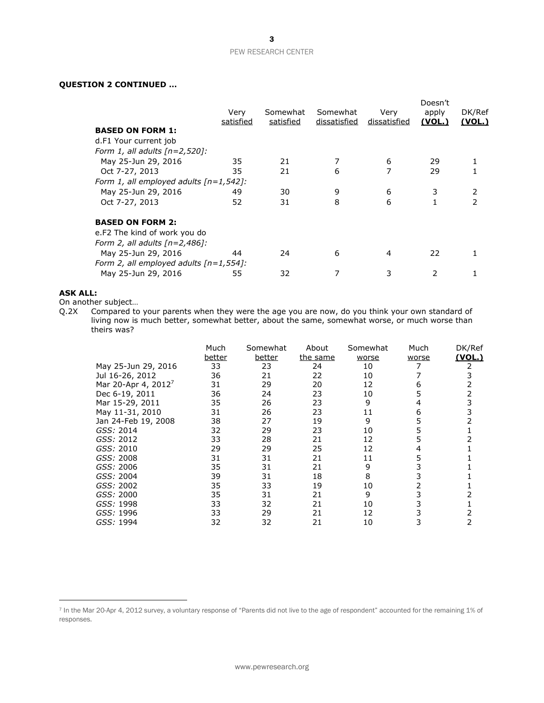# **QUESTION 2 CONTINUED …**

|                                           | Very<br>satisfied | Somewhat<br>satisfied | Somewhat<br>dissatisfied | Very<br>dissatisfied | Doesn't<br>apply<br>(VOL.) | DK/Ref<br><u>(VOL.)</u> |
|-------------------------------------------|-------------------|-----------------------|--------------------------|----------------------|----------------------------|-------------------------|
| <b>BASED ON FORM 1:</b>                   |                   |                       |                          |                      |                            |                         |
| d.F1 Your current job                     |                   |                       |                          |                      |                            |                         |
| Form 1, all adults $[n=2,520]$ :          |                   |                       |                          |                      |                            |                         |
| May 25-Jun 29, 2016                       | 35                | 21                    |                          | 6                    | 29                         |                         |
| Oct 7-27, 2013                            | 35                | 21                    | 6                        | 7                    | 29                         |                         |
| Form 1, all employed adults $[n=1,542]$ : |                   |                       |                          |                      |                            |                         |
| May 25-Jun 29, 2016                       | 49                | 30                    | 9                        | 6                    | 3                          | 2                       |
| Oct 7-27, 2013                            | 52                | 31                    | 8                        | 6                    |                            | 2                       |
| <b>BASED ON FORM 2:</b>                   |                   |                       |                          |                      |                            |                         |
| e.F2 The kind of work you do              |                   |                       |                          |                      |                            |                         |
| Form 2, all adults $[n=2,486]$ :          |                   |                       |                          |                      |                            |                         |
| May 25-Jun 29, 2016                       | 44                | 24                    | 6                        | 4                    | 22                         |                         |
| Form 2, all employed adults $[n=1,554]$ : |                   |                       |                          |                      |                            |                         |
| May 25-Jun 29, 2016                       | 55                | 32                    | 7                        | 3                    | 2                          |                         |
|                                           |                   |                       |                          |                      |                            |                         |

# **ASK ALL:**

On another subject…

Q.2X Compared to your parents when they were the age you are now, do you think your own standard of living now is much better, somewhat better, about the same, somewhat worse, or much worse than theirs was?

|                                 | Much<br>better | Somewhat<br>better | About<br>the same | Somewhat<br>worse | Much<br>worse | DK/Ref<br>(VOL.) |
|---------------------------------|----------------|--------------------|-------------------|-------------------|---------------|------------------|
| May 25-Jun 29, 2016             | 33             | 23                 | 24                | 10                |               |                  |
| Jul 16-26, 2012                 | 36             | 21                 | 22                | 10                |               |                  |
| Mar 20-Apr 4, 2012 <sup>7</sup> | 31             | 29                 | 20                | 12                | 6             |                  |
| Dec 6-19, 2011                  | 36             | 24                 | 23                | 10                |               |                  |
| Mar 15-29, 2011                 | 35             | 26                 | 23                | 9                 |               |                  |
| May 11-31, 2010                 | 31             | 26                 | 23                | 11                | 6             |                  |
| Jan 24-Feb 19, 2008             | 38             | 27                 | 19                | 9                 | 5             |                  |
| GSS: 2014                       | 32             | 29                 | 23                | 10                | 5             |                  |
| GSS: 2012                       | 33             | 28                 | 21                | 12                | 5             |                  |
| GSS: 2010                       | 29             | 29                 | 25                | 12                | 4             |                  |
| GSS: 2008                       | 31             | 31                 | 21                | 11                | 5             |                  |
| <i>GSS:</i> 2006                | 35             | 31                 | 21                | 9                 |               |                  |
| GSS: 2004                       | 39             | 31                 | 18                | 8                 | 3             |                  |
| GSS: 2002                       | 35             | 33                 | 19                | 10                | 2             |                  |
| GSS: 2000                       | 35             | 31                 | 21                | 9                 | 3             |                  |
| GSS: 1998                       | 33             | 32                 | 21                | 10                |               |                  |
| GSS: 1996                       | 33             | 29                 | 21                | 12                |               |                  |
| GSS: 1994                       | 32             | 32                 | 21                | 10                |               |                  |

<sup>7</sup> In the Mar 20-Apr 4, 2012 survey, a voluntary response of "Parents did not live to the age of respondent" accounted for the remaining 1% of responses.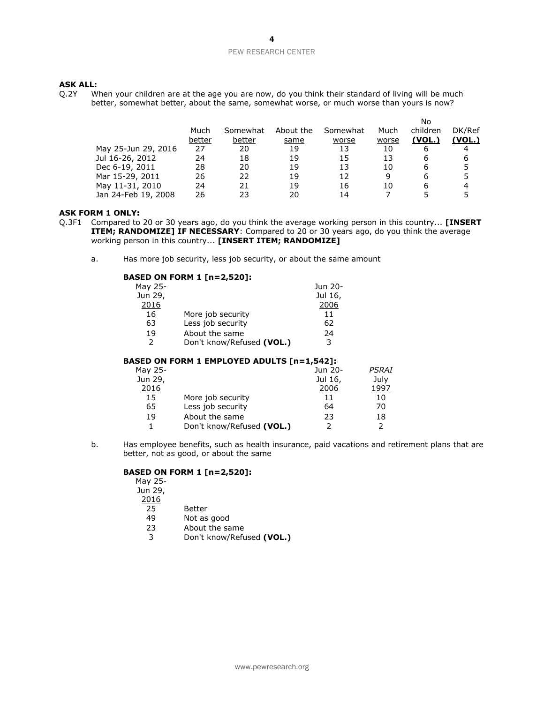# **ASK ALL:**

Q.2Y When your children are at the age you are now, do you think their standard of living will be much better, somewhat better, about the same, somewhat worse, or much worse than yours is now?

|                     |        |          |           |          |       | No       |        |
|---------------------|--------|----------|-----------|----------|-------|----------|--------|
|                     | Much   | Somewhat | About the | Somewhat | Much  | children | DK/Ref |
|                     | better | better   | same      | worse    | worse | (VOL.)   | (VOL.) |
| May 25-Jun 29, 2016 | 27     | 20       | 19        | 13       | 10    | 6        | 4      |
| Jul 16-26, 2012     | 24     | 18       | 19        | 15       | 13    | 6        | 6      |
| Dec 6-19, 2011      | 28     | 20       | 19        | 13       | 10    | 6        | 5      |
| Mar 15-29, 2011     | 26     | 22       | 19        | 12       | q     | 6        | 5      |
| May 11-31, 2010     | 24     | 21       | 19        | 16       | 10    | 6        | 4      |
| Jan 24-Feb 19, 2008 | 26     | つっ       | 20        | 14       |       |          |        |

## **ASK FORM 1 ONLY:**

- Q.3F1 Compared to 20 or 30 years ago, do you think the average working person in this country... **[INSERT ITEM; RANDOMIZE] IF NECESSARY:** Compared to 20 or 30 years ago, do you think the average working person in this country... **[INSERT ITEM; RANDOMIZE]** 
	- a. Has more job security, less job security, or about the same amount

# **BASED ON FORM 1 [n=2,520]:**

| May 25-       |                           | Jun 20- |
|---------------|---------------------------|---------|
| Jun 29,       |                           | Jul 16, |
| 2016          |                           | 2006    |
| 16            | More job security         | 11      |
| 63            | Less job security         | 62      |
| 19            | About the same            | 24      |
| $\mathcal{P}$ | Don't know/Refused (VOL.) | 3       |
|               |                           |         |

# **BASED ON FORM 1 EMPLOYED ADULTS [n=1,542]:**

| May 25- |                           | Jun 20- | <b>PSRAI</b> |
|---------|---------------------------|---------|--------------|
| Jun 29, |                           | Jul 16, | July         |
| 2016    |                           | 2006    | 1997         |
| 15      | More job security         | 11      | 10           |
| 65      | Less job security         | 64      | 70           |
| 19      | About the same            | 23      | 18           |
|         | Don't know/Refused (VOL.) |         |              |

b. Has employee benefits, such as health insurance, paid vacations and retirement plans that are better, not as good, or about the same

# **BASED ON FORM 1 [n=2,520]:**

| May 25- |                           |
|---------|---------------------------|
| Jun 29, |                           |
| 2016    |                           |
| 25      | Better                    |
| 49      | Not as good               |
| フ3      | About the same            |
| ٦       | Don't know/Refused (VOL.) |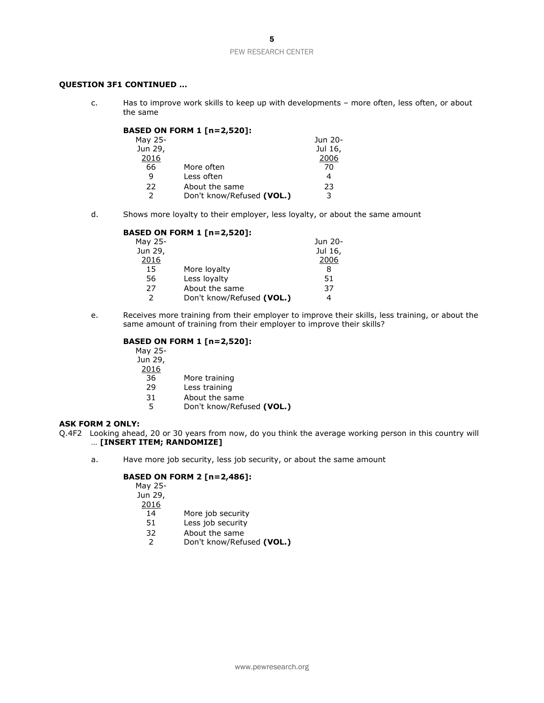# **QUESTION 3F1 CONTINUED …**

c. Has to improve work skills to keep up with developments – more often, less often, or about the same

|         | <b>BASED ON FORM 1 [n=2,520]:</b> |         |
|---------|-----------------------------------|---------|
| May 25- |                                   | Jun 20- |
| Jun 29, |                                   | Jul 16, |
| 2016    |                                   | 2006    |
| 66      | More often                        | 70      |
| 9       | Less often                        | 4       |
| 22      | About the same                    | 23      |
|         | Don't know/Refused (VOL.)         | 3       |

d. Shows more loyalty to their employer, less loyalty, or about the same amount

#### **BASED ON FORM 1 [n=2,520]:**

| May 25-       |                           | Jun 20- |
|---------------|---------------------------|---------|
| Jun 29,       |                           | Jul 16, |
| 2016          |                           | 2006    |
| 15            | More loyalty              | 8       |
| 56            | Less loyalty              | 51      |
| 27            | About the same            | 37      |
| $\mathcal{P}$ | Don't know/Refused (VOL.) |         |

e. Receives more training from their employer to improve their skills, less training, or about the same amount of training from their employer to improve their skills?

# **BASED ON FORM 1 [n=2,520]:**

- May 25-
- Jun 29,
- $\frac{2016}{36}$ 
	- 36 More training<br>29 Less training
	- Less training
	-
	- 31 About the same<br>5 Don't know/Refu 5 Don't know/Refused **(VOL.)**

## **ASK FORM 2 ONLY:**

- Q.4F2 Looking ahead, 20 or 30 years from now, do you think the average working person in this country will … **[INSERT ITEM; RANDOMIZE]** 
	- a. Have more job security, less job security, or about the same amount

# **BASED ON FORM 2 [n=2,486]:**

| May 25-       |                           |
|---------------|---------------------------|
| Jun 29,       |                           |
| 2016          |                           |
| 14            | More job security         |
| 51            | Less job security         |
| 32            | About the same            |
| $\mathcal{P}$ | Don't know/Refused (VOL.) |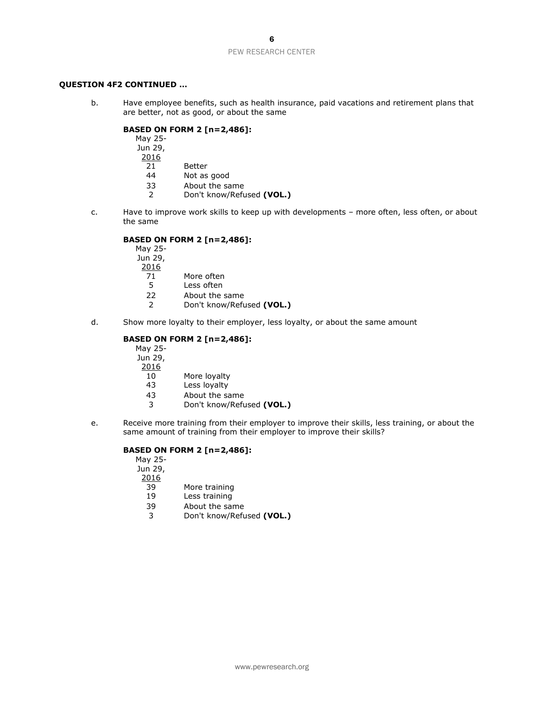# **QUESTION 4F2 CONTINUED …**

b. Have employee benefits, such as health insurance, paid vacations and retirement plans that are better, not as good, or about the same

# **BASED ON FORM 2 [n=2,486]:**

| May 25- |             |
|---------|-------------|
| Jun 29, |             |
| 2016    |             |
| 21      | Better      |
| 44      | Not as good |
|         |             |

- 33 About the same<br>2 Don't know/Refu
- 2 Don't know/Refused **(VOL.)**
- c. Have to improve work skills to keep up with developments more often, less often, or about the same

# **BASED ON FORM 2 [n=2,486]:**

| May 25-       |                           |
|---------------|---------------------------|
| Jun 29,       |                           |
| 2016          |                           |
| 71            | More often                |
| 5             | Less often                |
| 22            | About the same            |
| $\mathcal{P}$ | Don't know/Refused (VOL.) |

d. Show more loyalty to their employer, less loyalty, or about the same amount

# **BASED ON FORM 2 [n=2,486]:**

| May 25- |  |
|---------|--|
| Jun 29, |  |
| 2016    |  |

- 10 More loyalty
- 43 Less loyalty
- 43 About the same
- 3 Don't know/Refused **(VOL.)**
- e. Receive more training from their employer to improve their skills, less training, or about the same amount of training from their employer to improve their skills?

# **BASED ON FORM 2 [n=2,486]:**

| May 25- |                           |
|---------|---------------------------|
| Jun 29, |                           |
| 2016    |                           |
| 39      | More training             |
| 19      | Less training             |
| 39      | About the same            |
| 3       | Don't know/Refused (VOL.) |
|         |                           |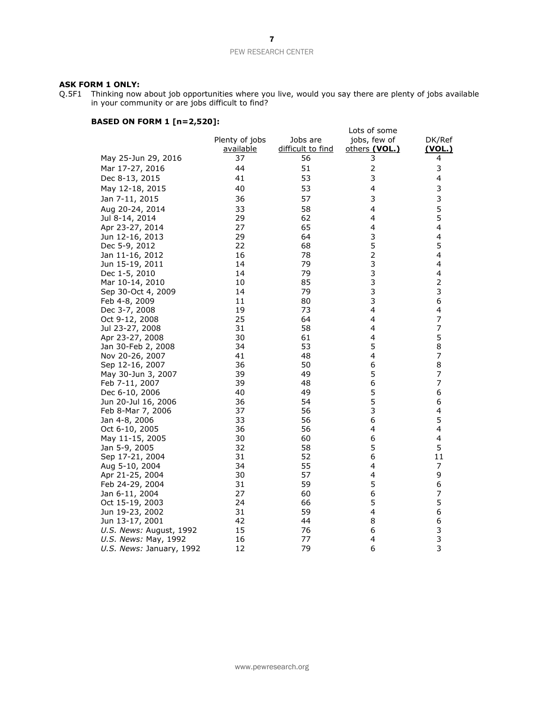#### **ASK FORM 1 ONLY:**

Q.5F1 Thinking now about job opportunities where you live, would you say there are plenty of jobs available in your community or are jobs difficult to find?

# **BASED ON FORM 1 [n=2,520]:**

|                                                 |                             |                               | Lots of some                  |                         |
|-------------------------------------------------|-----------------------------|-------------------------------|-------------------------------|-------------------------|
|                                                 | Plenty of jobs<br>available | Jobs are<br>difficult to find | jobs, few of<br>others (VOL.) | DK/Ref<br><u>(VOL.)</u> |
| May 25-Jun 29, 2016                             | 37                          | 56                            | 3                             | 4                       |
| Mar 17-27, 2016                                 | 44                          | 51                            | $\overline{2}$                | 3                       |
| Dec 8-13, 2015                                  | 41                          | 53                            | 3                             | 4                       |
| May 12-18, 2015                                 | 40                          | 53                            | 4                             | 3                       |
| Jan 7-11, 2015                                  | 36                          | 57                            | 3                             | 3                       |
| Aug 20-24, 2014                                 | 33                          | 58                            | 4                             | 5                       |
| Jul 8-14, 2014                                  | 29                          | 62                            | 4                             | 5                       |
| Apr 23-27, 2014                                 | 27                          | 65                            | 4                             | 4                       |
| Jun 12-16, 2013                                 | 29                          | 64                            | 3                             | 4                       |
| Dec 5-9, 2012                                   | 22                          | 68                            | 5                             | 5                       |
| Jan 11-16, 2012                                 | 16                          | 78                            | $\overline{c}$                | 4                       |
| Jun 15-19, 2011                                 | 14                          | 79                            | 3                             | 4                       |
| Dec 1-5, 2010                                   | 14                          | 79                            | 3                             | 4                       |
| Mar 10-14, 2010                                 | 10                          | 85                            | 3                             | $\overline{\mathbf{c}}$ |
| Sep 30-Oct 4, 2009                              | 14                          | 79                            | 3                             | 3                       |
| Feb 4-8, 2009                                   | 11                          | 80                            | 3                             | 6                       |
| Dec 3-7, 2008                                   | 19                          | 73                            | 4                             | 4                       |
| Oct 9-12, 2008                                  | 25                          | 64                            | 4                             | 7                       |
| Jul 23-27, 2008                                 | 31                          | 58                            | 4                             | 7                       |
| Apr 23-27, 2008                                 | 30                          | 61                            | 4                             | 5                       |
| Jan 30-Feb 2, 2008                              | 34                          | 53                            | 5                             | 8                       |
| Nov 20-26, 2007                                 | 41                          | 48                            | 4                             | 7                       |
| Sep 12-16, 2007                                 | 36                          | 50                            | 6                             | 8                       |
| May 30-Jun 3, 2007                              | 39                          | 49                            | 5                             | 7                       |
| Feb 7-11, 2007                                  | 39                          | 48                            | 6                             | 7                       |
| Dec 6-10, 2006                                  | 40                          | 49                            | 5                             | 6                       |
| Jun 20-Jul 16, 2006                             | 36                          | 54                            | 5                             | 6                       |
| Feb 8-Mar 7, 2006                               | 37                          | 56                            | 3                             | 4                       |
| Jan 4-8, 2006                                   | 33                          | 56                            | 6                             | 5                       |
| Oct 6-10, 2005                                  | 36                          | 56                            | 4                             | 4                       |
| May 11-15, 2005                                 | 30                          | 60                            | 6                             | 4                       |
| Jan 5-9, 2005                                   | 32                          | 58                            | 5                             | 5                       |
| Sep 17-21, 2004                                 | 31                          | 52                            | 6                             | 11                      |
| Aug 5-10, 2004                                  | 34                          | 55                            | 4                             | 7                       |
| Apr 21-25, 2004                                 | 30                          | 57                            | 4<br>5                        | 9                       |
| Feb 24-29, 2004                                 | 31                          | 59                            | 6                             | 6<br>7                  |
| Jan 6-11, 2004                                  | 27                          | 60                            | 5                             | 5                       |
| Oct 15-19, 2003                                 | 24                          | 66                            |                               |                         |
| Jun 19-23, 2002<br>Jun 13-17, 2001              | 31<br>42                    | 59<br>44                      | 4<br>8                        | 6<br>6                  |
|                                                 | 15                          | 76                            | 6                             | 3                       |
| U.S. News: August, 1992<br>U.S. News: May, 1992 | 16                          | 77                            | 4                             | 3                       |
| U.S. News: January, 1992                        | 12                          | 79                            | 6                             | $\overline{3}$          |
|                                                 |                             |                               |                               |                         |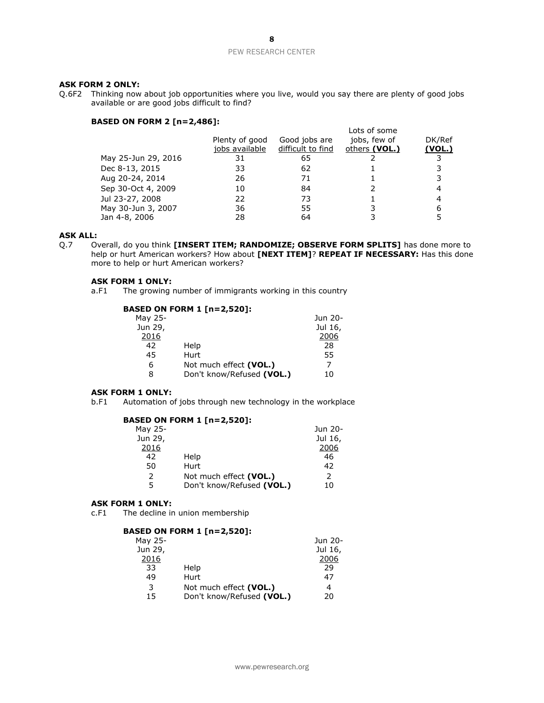## **ASK FORM 2 ONLY:**

Q.6F2 Thinking now about job opportunities where you live, would you say there are plenty of good jobs available or are good jobs difficult to find?

# **BASED ON FORM 2 [n=2,486]:**

|                     |                                  |                                    | Lots of some                  |                         |
|---------------------|----------------------------------|------------------------------------|-------------------------------|-------------------------|
|                     | Plenty of good<br>jobs available | Good jobs are<br>difficult to find | jobs, few of<br>others (VOL.) | DK/Ref<br><u>(VOL.)</u> |
| May 25-Jun 29, 2016 | 31                               | 65                                 |                               |                         |
| Dec 8-13, 2015      | 33                               | 62                                 |                               |                         |
| Aug 20-24, 2014     | 26                               | 71                                 |                               |                         |
| Sep 30-Oct 4, 2009  | 10                               | 84                                 |                               |                         |
| Jul 23-27, 2008     | 22                               | 73                                 |                               |                         |
| May 30-Jun 3, 2007  | 36                               | 55                                 |                               |                         |
| Jan 4-8, 2006       | 28                               | 64                                 |                               |                         |

# **ASK ALL:**

Q.7 Overall, do you think **[INSERT ITEM; RANDOMIZE; OBSERVE FORM SPLITS]** has done more to help or hurt American workers? How about **[NEXT ITEM]**? **REPEAT IF NECESSARY:** Has this done more to help or hurt American workers?

#### **ASK FORM 1 ONLY:**

a.F1 The growing number of immigrants working in this country

# **BASED ON FORM 1 [n=2,520]:**

| Jun 20- |
|---------|
| Jul 16, |
| 2006    |
| 28      |
| 55      |
| 7       |
| 10      |
|         |

# **ASK FORM 1 ONLY:**

b.F1 Automation of jobs through new technology in the workplace

# **BASED ON FORM 1 [n=2,520]:**

| May 25-       |                           | Jun 20-       |
|---------------|---------------------------|---------------|
| Jun 29,       |                           | Jul 16,       |
| 2016          |                           | 2006          |
| 42            | Help                      | 46            |
| 50            | Hurt                      | 42            |
| $\mathcal{L}$ | Not much effect (VOL.)    | $\mathcal{P}$ |
| 5             | Don't know/Refused (VOL.) | 10            |
|               |                           |               |

#### **ASK FORM 1 ONLY:**

c.F1 The decline in union membership

#### **BASED ON FORM 1 [n=2,520]:**

|                           | Jun 20- |
|---------------------------|---------|
|                           | Jul 16, |
|                           | 2006    |
| Help                      | 29      |
| Hurt                      | 47      |
| Not much effect (VOL.)    | 4       |
| Don't know/Refused (VOL.) | 20      |
|                           |         |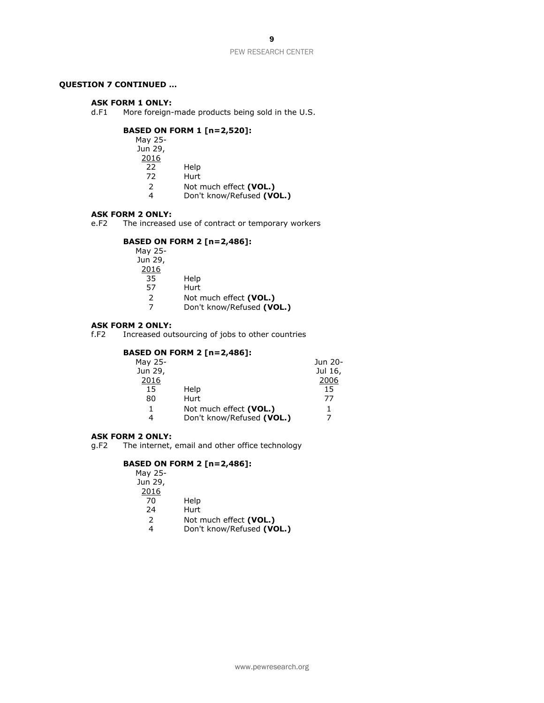9

PEW RESEARCH CENTER

# **QUESTION 7 CONTINUED …**

## **ASK FORM 1 ONLY:**

d.F1 More foreign-made products being sold in the U.S.

# **BASED ON FORM 1 [n=2,520]:**

| May 25-       |                           |
|---------------|---------------------------|
| Jun 29,       |                           |
| 2016          |                           |
| 22.           | Help                      |
| 72            | Hurt                      |
| $\mathcal{P}$ | Not much effect (VOL.)    |
|               | Don't know/Refused (VOL.) |

#### **ASK FORM 2 ONLY:**

e.F2 The increased use of contract or temporary workers

# **BASED ON FORM 2 [n=2,486]:**

| May 25-       |                           |
|---------------|---------------------------|
| Jun 29,       |                           |
| 2016          |                           |
| 35            | Help                      |
| 57            | Hurt                      |
| $\mathcal{P}$ | Not much effect (VOL.)    |
| 7             | Don't know/Refused (VOL.) |

#### **ASK FORM 2 ONLY:**

f.F2 Increased outsourcing of jobs to other countries

# **BASED ON FORM 2 [n=2,486]:**

| May 25- |                           | Jun 20- |
|---------|---------------------------|---------|
| Jun 29, |                           | Jul 16, |
| 2016    |                           | 2006    |
| 15      | Help                      | 15      |
| 80      | Hurt                      | 77      |
| 1       | Not much effect (VOL.)    | 1.      |
| 4       | Don't know/Refused (VOL.) | 7       |
|         |                           |         |

#### **ASK FORM 2 ONLY:**

g.F2 The internet, email and other office technology

# **BASED ON FORM 2 [n=2,486]:**

| May 25-       |                           |
|---------------|---------------------------|
| Jun 29,       |                           |
| 2016          |                           |
| 70            | Help                      |
| 24            | Hurt                      |
| $\mathcal{P}$ | Not much effect (VOL.)    |
|               | Don't know/Refused (VOL.) |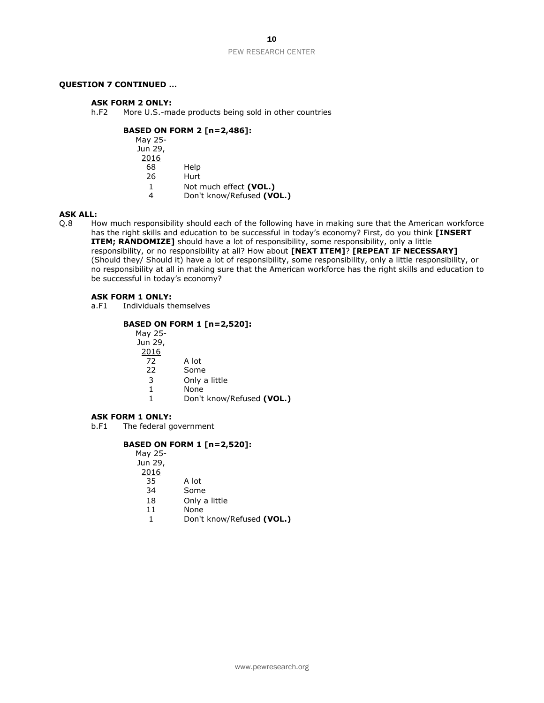# **QUESTION 7 CONTINUED …**

#### **ASK FORM 2 ONLY:**

h.F2 More U.S.-made products being sold in other countries

# **BASED ON FORM 2 [n=2,486]:**

| Help                      |
|---------------------------|
| Hurt                      |
| Not much effect (VOL.)    |
| Don't know/Refused (VOL.) |
|                           |

# **ASK ALL:**

Q.8 How much responsibility should each of the following have in making sure that the American workforce has the right skills and education to be successful in today's economy? First, do you think **[INSERT ITEM; RANDOMIZE]** should have a lot of responsibility, some responsibility, only a little responsibility, or no responsibility at all? How about **[NEXT ITEM]**? **[REPEAT IF NECESSARY]** (Should they/ Should it) have a lot of responsibility, some responsibility, only a little responsibility, or no responsibility at all in making sure that the American workforce has the right skills and education to be successful in today's economy?

#### **ASK FORM 1 ONLY:**

a.F1 Individuals themselves

## **BASED ON FORM 1 [n=2,520]:**

| May 25- |                           |
|---------|---------------------------|
| Jun 29, |                           |
| 2016    |                           |
| 72      | A lot                     |
| 22      | Some                      |
| 3       | Only a little             |
| 1       | None                      |
|         | Don't know/Refused (VOL.) |
|         |                           |

#### **ASK FORM 1 ONLY:**

b.F1 The federal government

# **BASED ON FORM 1 [n=2,520]:**

| May 25- |               |
|---------|---------------|
| Jun 29, |               |
| 2016    |               |
| 35      | A lot         |
| 34      | Some          |
| 18      | Only a little |
| 11      | None          |
|         |               |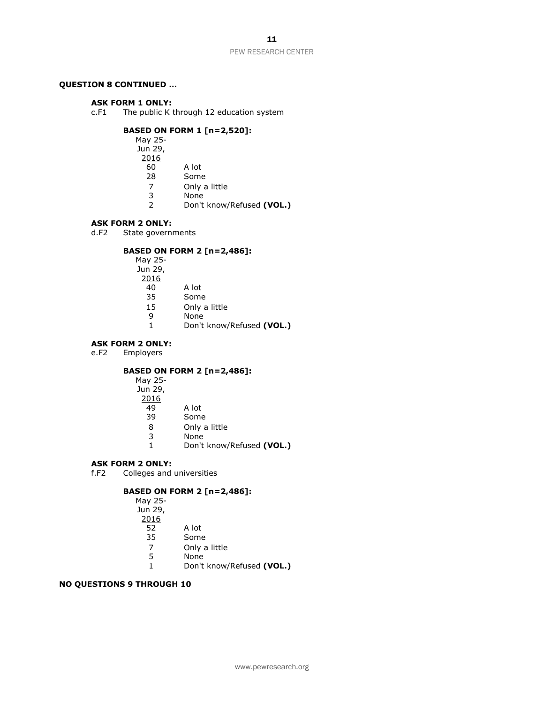# **QUESTION 8 CONTINUED …**

## **ASK FORM 1 ONLY:**

c.F1 The public K through 12 education system

# **BASED ON FORM 1 [n=2,520]:**

May 25- Jun 29, 2016 60 A lot 28 Some<br>7 Only a 7 Only a little 3 None<br>2 Don't 2 Don't know/Refused **(VOL.)**

#### **ASK FORM 2 ONLY:**

d.F2 State governments

# **BASED ON FORM 2 [n=2,486]:**

| May 25- |                           |
|---------|---------------------------|
| Jun 29, |                           |
| 2016    |                           |
| 40      | A lot                     |
| 35      | Some                      |
| 15      | Only a little             |
| q       | None                      |
| 1.      | Don't know/Refused (VOL.) |

# **ASK FORM 2 ONLY:**<br>e.F2 Employers

Employers

# **BASED ON FORM 2 [n=2,486]:**

| A lot                     |
|---------------------------|
| Some                      |
| Only a little             |
| None                      |
| Don't know/Refused (VOL.) |
|                           |

## **ASK FORM 2 ONLY:**

f.F2 Colleges and universities

# **BASED ON FORM 2 [n=2,486]:**

| A lot                     |
|---------------------------|
| Some                      |
| Only a little             |
| None                      |
| Don't know/Refused (VOL.) |
|                           |

# **NO QUESTIONS 9 THROUGH 10**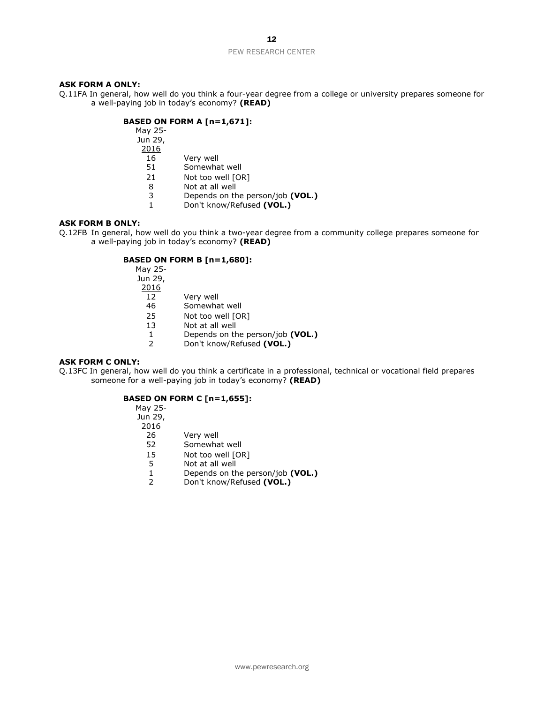12

#### PEW RESEARCH CENTER

## **ASK FORM A ONLY:**

Q.11FA In general, how well do you think a four-year degree from a college or university prepares someone for a well-paying job in today's economy? **(READ)** 

# **BASED ON FORM A [n=1,671]:**

| May 25- |                                  |
|---------|----------------------------------|
| Jun 29, |                                  |
| 2016    |                                  |
| 16      | Very well                        |
| 51      | Somewhat well                    |
| 21      | Not too well [OR]                |
| 8       | Not at all well                  |
| 3       | Depends on the person/job (VOL.) |
| 1       | Don't know/Refused (VOL.)        |

# **ASK FORM B ONLY:**

Q.12FB In general, how well do you think a two-year degree from a community college prepares someone for a well-paying job in today's economy? **(READ)** 

# **BASED ON FORM B [n=1,680]:**

| Very well                        |
|----------------------------------|
| Somewhat well                    |
| Not too well [OR]                |
| Not at all well                  |
| Depends on the person/job (VOL.) |
| Don't know/Refused (VOL.)        |
|                                  |

# **ASK FORM C ONLY:**

Q.13FC In general, how well do you think a certificate in a professional, technical or vocational field prepares someone for a well-paying job in today's economy? **(READ)** 

# **BASED ON FORM C [n=1,655]:**

| May 25- |                                  |
|---------|----------------------------------|
| Jun 29, |                                  |
| 2016    |                                  |
| 26      | Very well                        |
| 52      | Somewhat well                    |
| 15      | Not too well [OR]                |
| 5       | Not at all well                  |
| 1       | Depends on the person/job (VOL.) |
| 2       | Don't know/Refused (VOL.)        |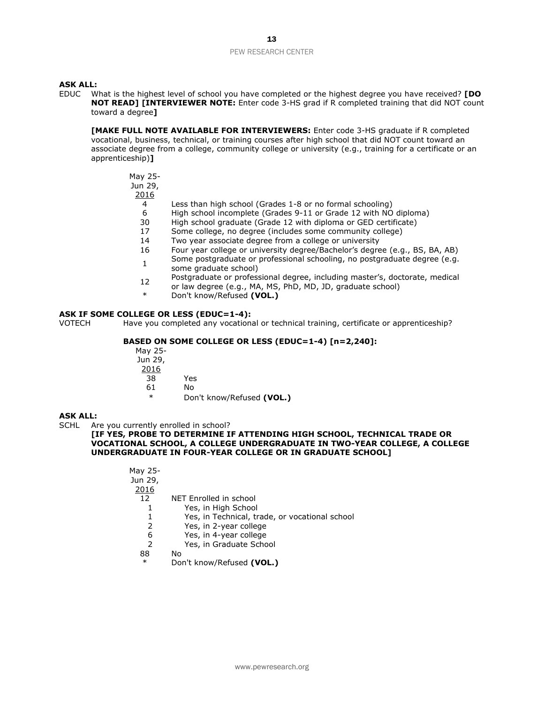#### **ASK ALL:**

EDUC What is the highest level of school you have completed or the highest degree you have received? **[DO NOT READ] [INTERVIEWER NOTE:** Enter code 3-HS grad if R completed training that did NOT count toward a degree**]** 

**[MAKE FULL NOTE AVAILABLE FOR INTERVIEWERS:** Enter code 3-HS graduate if R completed vocational, business, technical, or training courses after high school that did NOT count toward an associate degree from a college, community college or university (e.g., training for a certificate or an apprenticeship)**]**

May 25- Jun 29,

2016

- 4 Less than high school (Grades 1-8 or no formal schooling)
- 6 High school incomplete (Grades 9-11 or Grade 12 with NO diploma)
- 30 High school graduate (Grade 12 with diploma or GED certificate)
- 17 Some college, no degree (includes some community college)
- 14 Two year associate degree from a college or university
- 16 Four year college or university degree/Bachelor's degree (e.g., BS, BA, AB)
- 1 Some postgraduate or professional schooling, no postgraduate degree (e.g. some graduate school)
- <sup>12</sup> Postgraduate or professional degree, including master's, doctorate, medical
- or law degree (e.g., MA, MS, PhD, MD, JD, graduate school)
- \* Don't know/Refused **(VOL.)**

## **ASK IF SOME COLLEGE OR LESS (EDUC=1-4):**

VOTECH Have you completed any vocational or technical training, certificate or apprenticeship?

# **BASED ON SOME COLLEGE OR LESS (EDUC=1-4) [n=2,240]:**

- May 25- Jun 29, 2016
	- 38 Yes
	- 61 No
	- \* Don't know/Refused **(VOL.)**

# **ASK ALL:**

SCHL Are you currently enrolled in school?

#### **[IF YES, PROBE TO DETERMINE IF ATTENDING HIGH SCHOOL, TECHNICAL TRADE OR VOCATIONAL SCHOOL, A COLLEGE UNDERGRADUATE IN TWO-YEAR COLLEGE, A COLLEGE UNDERGRADUATE IN FOUR-YEAR COLLEGE OR IN GRADUATE SCHOOL]**

| May 25- |                                                |
|---------|------------------------------------------------|
| Jun 29, |                                                |
| 2016    |                                                |
| 12      | NET Enrolled in school                         |
| 1       | Yes, in High School                            |
| 1       | Yes, in Technical, trade, or vocational school |
| 2       | Yes, in 2-year college                         |
| 6       | Yes, in 4-year college                         |
| 2       | Yes, in Graduate School                        |
| 88      | No                                             |
| $\ast$  | Don't know/Refused (VOL.)                      |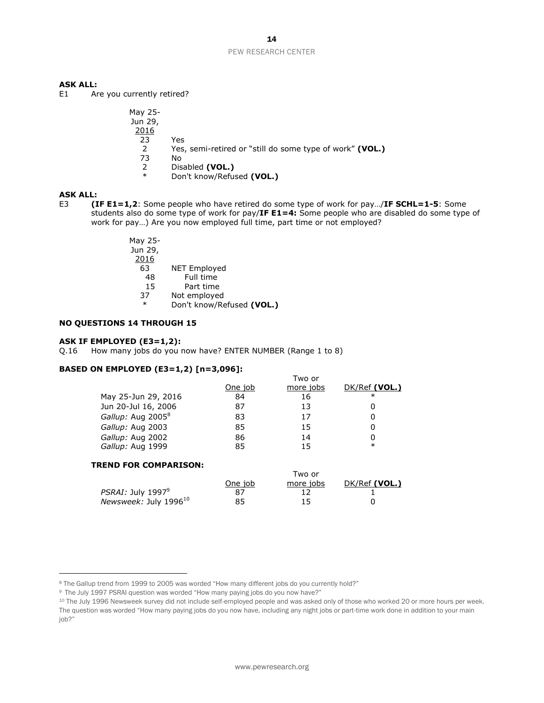# **ASK ALL:**

E1 Are you currently retired?

| May 25-<br>Jun 29, |                                                          |
|--------------------|----------------------------------------------------------|
| 2016               |                                                          |
| 23                 | Yes                                                      |
| $\mathcal{P}$      | Yes, semi-retired or "still do some type of work" (VOL.) |
| 73                 | N٥                                                       |
| 2                  | Disabled (VOL.)                                          |
| $\ast$             | Don't know/Refused (VOL.)                                |

# **ASK ALL:**

E3 **(IF E1=1,2**: Some people who have retired do some type of work for pay…/**IF SCHL=1-5**: Some students also do some type of work for pay/**IF E1=4:** Some people who are disabled do some type of work for pay…) Are you now employed full time, part time or not employed?

| May 25- |                           |
|---------|---------------------------|
| Jun 29, |                           |
| 2016    |                           |
| 63      | <b>NET Employed</b>       |
| 48      | Full time                 |
| 15      | Part time                 |
| 37      | Not employed              |
| $\ast$  | Don't know/Refused (VOL.) |

#### **NO QUESTIONS 14 THROUGH 15**

## **ASK IF EMPLOYED (E3=1,2):**

Q.16 How many jobs do you now have? ENTER NUMBER (Range 1 to 8)

# **BASED ON EMPLOYED (E3=1,2) [n=3,096]:**

|                               |         | Two or    |               |
|-------------------------------|---------|-----------|---------------|
|                               | One job | more jobs | DK/Ref (VOL.) |
| May 25-Jun 29, 2016           | 84      | 16        | $\ast$        |
| Jun 20-Jul 16, 2006           | 87      | 13        | Ω             |
| Gallup: Aug 2005 <sup>8</sup> | 83      | 17        | Ω             |
| Gallup: Aug 2003              | 85      | 15        | Ω             |
| Gallup: Aug 2002              | 86      | 14        | 0             |
| Gallup: Aug 1999              | 85      | 15        | $\ast$        |

## **TREND FOR COMPARISON:**

|                             |         | Two or    |               |
|-----------------------------|---------|-----------|---------------|
|                             | One job | more jobs | DK/Ref (VOL.) |
| PSRAI: July $1997^9$        |         |           |               |
| Newsweek: July 1996 $^{10}$ | 85      | 15        |               |

<sup>8</sup> The Gallup trend from 1999 to 2005 was worded "How many different jobs do you currently hold?"

<sup>&</sup>lt;sup>9</sup> The July 1997 PSRAI question was worded "How many paying jobs do you now have?"

<sup>&</sup>lt;sup>10</sup> The July 1996 Newsweek survey did not include self-employed people and was asked only of those who worked 20 or more hours per week. The question was worded "How many paying jobs do you now have, including any night jobs or part-time work done in addition to your main job?"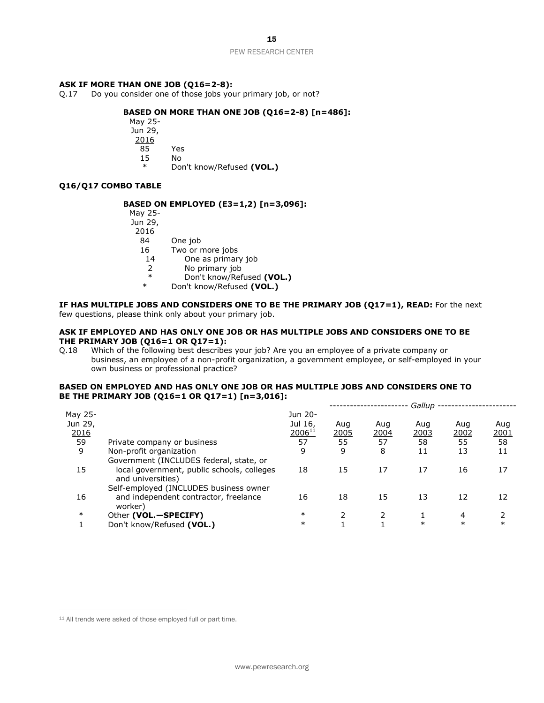15

#### PEW RESEARCH CENTER

#### **ASK IF MORE THAN ONE JOB (Q16=2-8):**

Q.17 Do you consider one of those jobs your primary job, or not?

# **BASED ON MORE THAN ONE JOB (Q16=2-8) [n=486]:**

May 25- Jun 29, 2016 85 Yes 15 No Don't know/Refused (VOL.)

# **Q16/Q17 COMBO TABLE**

## **BASED ON EMPLOYED (E3=1,2) [n=3,096]:**

| May 25-       |                    |
|---------------|--------------------|
| Jun 29,       |                    |
| 2016          |                    |
| 84            | One job            |
| 16            | Two or more jobs   |
| 14            | One as primary job |
| $\mathcal{P}$ | No primary job     |
| $\ast$        | Don't know/Refused |

(VOL.) \* Don't know/Refused **(VOL.)**

#### **IF HAS MULTIPLE JOBS AND CONSIDERS ONE TO BE THE PRIMARY JOB (Q17=1), READ:** For the next few questions, please think only about your primary job.

## **ASK IF EMPLOYED AND HAS ONLY ONE JOB OR HAS MULTIPLE JOBS AND CONSIDERS ONE TO BE THE PRIMARY JOB (Q16=1 OR Q17=1):**

Q.18 Which of the following best describes your job? Are you an employee of a private company or business, an employee of a non-profit organization, a government employee, or self-employed in your own business or professional practice?

#### **BASED ON EMPLOYED AND HAS ONLY ONE JOB OR HAS MULTIPLE JOBS AND CONSIDERS ONE TO BE THE PRIMARY JOB (Q16=1 OR Q17=1) [n=3,016]:**

|         |                                                                 |             |      |      | Gallup |        |              |
|---------|-----------------------------------------------------------------|-------------|------|------|--------|--------|--------------|
| May 25- |                                                                 | Jun 20-     |      |      |        |        |              |
| Jun 29, |                                                                 | Jul 16,     | Aug  | Aug  | Aug    | Aug    | Aug          |
| 2016    |                                                                 | $2006^{11}$ | 2005 | 2004 | 2003   | 2002   | <u> 2001</u> |
| 59      | Private company or business                                     | 57          | 55   | 57   | 58     | 55     | 58           |
| 9       | Non-profit organization                                         | 9           | 9    | 8    | 11     | 13     | 11           |
|         | Government (INCLUDES federal, state, or                         |             |      |      |        |        |              |
| 15      | local government, public schools, colleges<br>and universities) | 18          | 15   | 17   | 17     | 16     | 17           |
|         | Self-employed (INCLUDES business owner                          |             |      |      |        |        |              |
| 16      | and independent contractor, freelance<br>worker)                | 16          | 18   | 15   | 13     | 12     | 12           |
| $\ast$  | Other (VOL.-SPECIFY)                                            | $\ast$      | 2    |      |        | 4      |              |
|         | Don't know/Refused (VOL.)                                       | $\ast$      |      |      | $\ast$ | $\ast$ | $\ast$       |
|         |                                                                 |             |      |      |        |        |              |

<sup>11</sup> All trends were asked of those employed full or part time.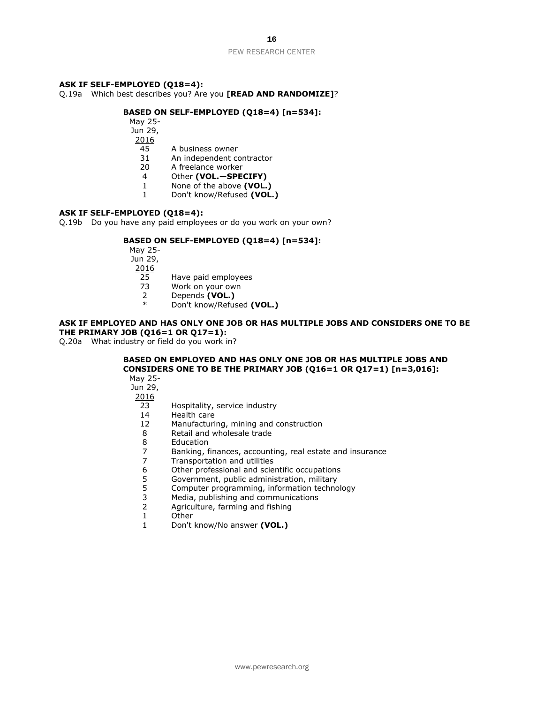## **ASK IF SELF-EMPLOYED (Q18=4):**

Q.19a Which best describes you? Are you **[READ AND RANDOMIZE]**?

# **BASED ON SELF-EMPLOYED (Q18=4) [n=534]:**

- May 25-
- Jun 29,
- 2016
- 45 A business owner
- 31 An independent contractor
- 20 A freelance worker
- 4 Other **(VOL.—SPECIFY)**
- 1 None of the above **(VOL.)**
- 1 Don't know/Refused **(VOL.)**

## **ASK IF SELF-EMPLOYED (Q18=4):**

Q.19b Do you have any paid employees or do you work on your own?

#### **BASED ON SELF-EMPLOYED (Q18=4) [n=534]:**

May 25- Jun 29,  $\frac{2016}{25}$ 

- Have paid employees
- 73 Work on your own
- 2 Depends **(VOL.)**
- \* Don't know/Refused **(VOL.)**

# **ASK IF EMPLOYED AND HAS ONLY ONE JOB OR HAS MULTIPLE JOBS AND CONSIDERS ONE TO BE THE PRIMARY JOB (Q16=1 OR Q17=1):**

Q.20a What industry or field do you work in?

# **BASED ON EMPLOYED AND HAS ONLY ONE JOB OR HAS MULTIPLE JOBS AND CONSIDERS ONE TO BE THE PRIMARY JOB (Q16=1 OR Q17=1) [n=3,016]:**

May 25- Jun 29,

- 23 Hospitality, service industry
- 14 Health care
- 12 Manufacturing, mining and construction
- 8 Retail and wholesale trade
- 8 Education
- 7 Banking, finances, accounting, real estate and insurance
- 7 Transportation and utilities<br>6 Other professional and scie
- 6 Other professional and scientific occupations
- 5 Government, public administration, military
- 5 Computer programming, information technology<br>3 Media, publishing and communications
- Media, publishing and communications
- 2 Agriculture, farming and fishing
- 1 Other
- 1 Don't know/No answer **(VOL.)**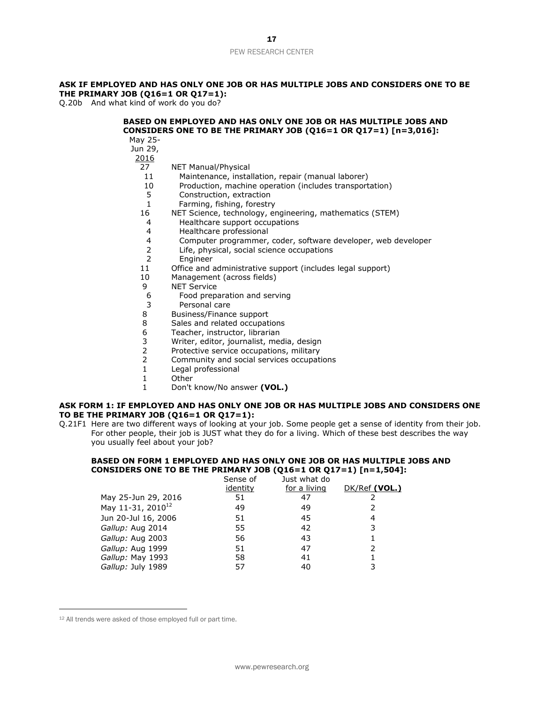# **ASK IF EMPLOYED AND HAS ONLY ONE JOB OR HAS MULTIPLE JOBS AND CONSIDERS ONE TO BE THE PRIMARY JOB (Q16=1 OR Q17=1):**

Q.20b And what kind of work do you do?

# **BASED ON EMPLOYED AND HAS ONLY ONE JOB OR HAS MULTIPLE JOBS AND CONSIDERS ONE TO BE THE PRIMARY JOB (Q16=1 OR Q17=1) [n=3,016]:**

- May 25- Jun 29,
	- 2016
	- 27 NET Manual/Physical
	- 11 Maintenance, installation, repair (manual laborer)
	- 10 Production, machine operation (includes transportation)<br>5 Construction, extraction
	- Construction, extraction
	- 1Farming, fishing, forestry
	- 16 NET Science, technology, engineering, mathematics (STEM)
	- 4 Healthcare support occupations
	- 4 Healthcare professional
	- 4 Computer programmer, coder, software developer, web developer
	- 2 Life, physical, social science occupations
	- 2 Engineer<br>11 Office and a
	- 11 Office and administrative support (includes legal support)<br>10 Management (across fields)
	- Management (across fields)
	- 9 NET Service
	- 6 Food preparation and serving
	- 3 Personal care
	- 8 Business/Finance support
	- 8 Sales and related occupations
	- 6 Teacher, instructor, librarian<br>3 Writer, editor, iournalist, me
	- 3 Writer, editor, journalist, media, design<br>2 Protective service occupations, military
	- Protective service occupations, military
	- 2 Community and social services occupations
	- 1 Legal professional
	- 1 Other
	- 1 Don't know/No answer **(VOL.)**

## **ASK FORM 1: IF EMPLOYED AND HAS ONLY ONE JOB OR HAS MULTIPLE JOBS AND CONSIDERS ONE TO BE THE PRIMARY JOB (Q16=1 OR Q17=1):**

Q.21F1 Here are two different ways of looking at your job. Some people get a sense of identity from their job. For other people, their job is JUST what they do for a living. Which of these best describes the way you usually feel about your job?

# **BASED ON FORM 1 EMPLOYED AND HAS ONLY ONE JOB OR HAS MULTIPLE JOBS AND CONSIDERS ONE TO BE THE PRIMARY JOB (Q16=1 OR Q17=1) [n=1,504]:**

|                               | Sense of | Just what do |               |
|-------------------------------|----------|--------------|---------------|
|                               | identity | for a living | DK/Ref (VOL.) |
| May 25-Jun 29, 2016           | 51       |              |               |
| May 11-31, 2010 <sup>12</sup> | 49       | 49           | 2             |
| Jun 20-Jul 16, 2006           | 51       | 45           | 4             |
| Gallup: Aug 2014              | 55       | 42           | 3             |
| Gallup: Aug 2003              | 56       | 43           |               |
| Gallup: Aug 1999              | 51       | 47           | 2             |
| Gallup: May 1993              | 58       | 41           |               |
| Gallup: July 1989             | 57       | 40           | 3             |
|                               |          |              |               |

<sup>12</sup> All trends were asked of those employed full or part time.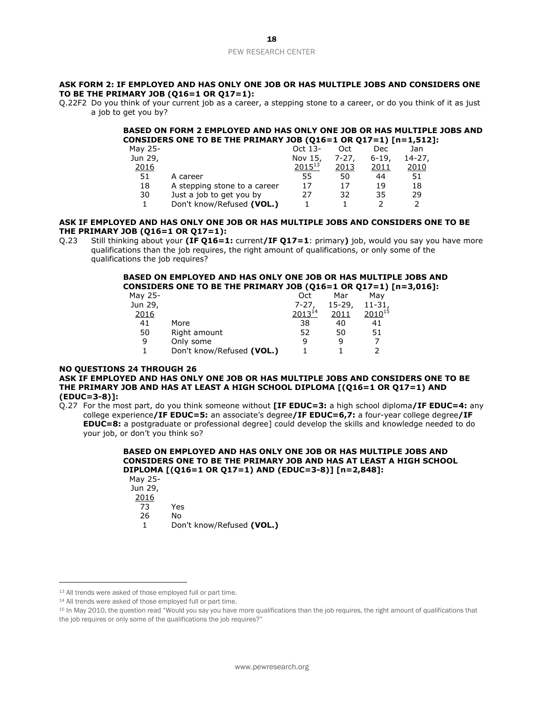## **ASK FORM 2: IF EMPLOYED AND HAS ONLY ONE JOB OR HAS MULTIPLE JOBS AND CONSIDERS ONE TO BE THE PRIMARY JOB (Q16=1 OR Q17=1):**

Q.22F2 Do you think of your current job as a career, a stepping stone to a career, or do you think of it as just a job to get you by?

## **BASED ON FORM 2 EMPLOYED AND HAS ONLY ONE JOB OR HAS MULTIPLE JOBS AND CONSIDERS ONE TO BE THE PRIMARY JOB (Q16=1 OR Q17=1) [n=1,512]:**

| May 25- |                              | Oct 13-     | Oct       | Dec      | Jan         |
|---------|------------------------------|-------------|-----------|----------|-------------|
| Jun 29, |                              | Nov 15,     | $7 - 27.$ | $6 - 19$ | $14 - 27$ , |
| 2016    |                              | $2015^{13}$ | 2013      | 2011     | 2010        |
| 51      | A career                     | 55          | 50        | 44       | 51          |
| 18      | A stepping stone to a career | 17          | 17        | 19       | 18          |
| 30      | Just a job to get you by     | 27          | 32        | 35       | 29          |
|         | Don't know/Refused (VOL.)    |             |           |          |             |

## **ASK IF EMPLOYED AND HAS ONLY ONE JOB OR HAS MULTIPLE JOBS AND CONSIDERS ONE TO BE THE PRIMARY JOB (Q16=1 OR Q17=1):**

Q.23 Still thinking about your **(IF Q16=1:** current**/IF Q17=1**: primary**)** job, would you say you have more qualifications than the job requires, the right amount of qualifications, or only some of the qualifications the job requires?

## **BASED ON EMPLOYED AND HAS ONLY ONE JOB OR HAS MULTIPLE JOBS AND CONSIDERS ONE TO BE THE PRIMARY JOB (Q16=1 OR Q17=1) [n=3,016]:**

| May 25- |                           | Oct         | Mar        | Mav         |
|---------|---------------------------|-------------|------------|-------------|
| Jun 29, |                           | $7 - 27$    | $15 - 29.$ | $11-31.$    |
| 2016    |                           | $2013^{14}$ | 2011       | $2010^{15}$ |
| 41      | More                      | 38          | 40         | 41          |
| 50      | Right amount              | 52          | 50         | 51          |
| 9       | Only some                 | q           | q          |             |
|         | Don't know/Refused (VOL.) |             |            |             |
|         |                           |             |            |             |

# **NO QUESTIONS 24 THROUGH 26**

# **ASK IF EMPLOYED AND HAS ONLY ONE JOB OR HAS MULTIPLE JOBS AND CONSIDERS ONE TO BE THE PRIMARY JOB AND HAS AT LEAST A HIGH SCHOOL DIPLOMA [(Q16=1 OR Q17=1) AND (EDUC=3-8)]:**

Q.27 For the most part, do you think someone without **[IF EDUC=3:** a high school diploma**/IF EDUC=4:** any college experience**/IF EDUC=5:** an associate's degree**/IF EDUC=6,7:** a four-year college degree**/IF EDUC=8:** a postgraduate or professional degree] could develop the skills and knowledge needed to do your job, or don't you think so?

#### **BASED ON EMPLOYED AND HAS ONLY ONE JOB OR HAS MULTIPLE JOBS AND CONSIDERS ONE TO BE THE PRIMARY JOB AND HAS AT LEAST A HIGH SCHOOL DIPLOMA [(Q16=1 OR Q17=1) AND (EDUC=3-8)] [n=2,848]:**  $M$

| May 25- |                           |
|---------|---------------------------|
| Jun 29, |                           |
| 2016    |                           |
| 73      | Yes                       |
| 26      | N٥                        |
| 1.      | Don't know/Refused (VOL.) |
|         |                           |

<sup>13</sup> All trends were asked of those employed full or part time.

<sup>&</sup>lt;sup>14</sup> All trends were asked of those employed full or part time.

<sup>15</sup> In May 2010, the question read "Would you say you have more qualifications than the job requires, the right amount of qualifications that the job requires or only some of the qualifications the job requires?"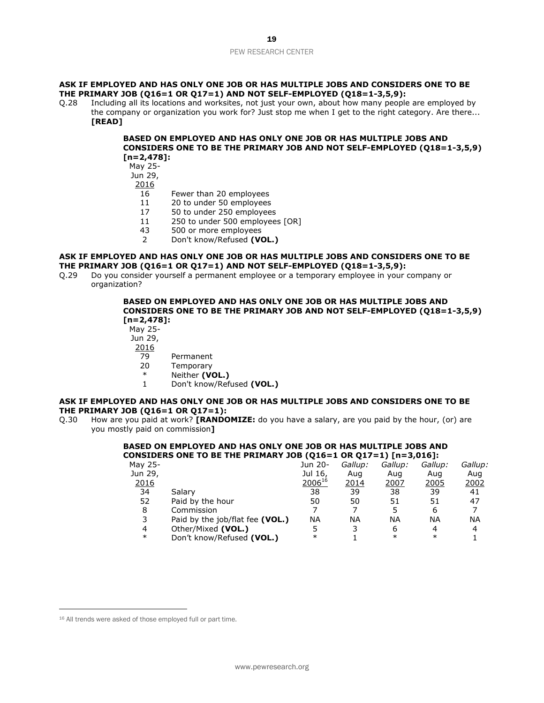## **ASK IF EMPLOYED AND HAS ONLY ONE JOB OR HAS MULTIPLE JOBS AND CONSIDERS ONE TO BE THE PRIMARY JOB (Q16=1 OR Q17=1) AND NOT SELF-EMPLOYED (Q18=1-3,5,9):**

Q.28 Including all its locations and worksites, not just your own, about how many people are employed by the company or organization you work for? Just stop me when I get to the right category. Are there... **[READ]**

## **BASED ON EMPLOYED AND HAS ONLY ONE JOB OR HAS MULTIPLE JOBS AND CONSIDERS ONE TO BE THE PRIMARY JOB AND NOT SELF-EMPLOYED (Q18=1-3,5,9) [n=2,478]:**

May 25-

- Jun 29,
- 2016
	- 16 Fewer than 20 employees
	- 11 20 to under 50 employees
	- 17 50 to under 250 employees
	- 11 250 to under 500 employees [OR]
	- 43 500 or more employees
	- 2 Don't know/Refused **(VOL.)**

## **ASK IF EMPLOYED AND HAS ONLY ONE JOB OR HAS MULTIPLE JOBS AND CONSIDERS ONE TO BE THE PRIMARY JOB (Q16=1 OR Q17=1) AND NOT SELF-EMPLOYED (Q18=1-3,5,9):**

Q.29 Do you consider yourself a permanent employee or a temporary employee in your company or organization?

## **BASED ON EMPLOYED AND HAS ONLY ONE JOB OR HAS MULTIPLE JOBS AND CONSIDERS ONE TO BE THE PRIMARY JOB AND NOT SELF-EMPLOYED (Q18=1-3,5,9) [n=2,478]:**

May 25-

- Jun 29,
- 2016
	- 79 Permanent
	- 20 Temporary
	- \* Neither **(VOL.)**
	- 1 Don't know/Refused **(VOL.)**

# **ASK IF EMPLOYED AND HAS ONLY ONE JOB OR HAS MULTIPLE JOBS AND CONSIDERS ONE TO BE THE PRIMARY JOB (Q16=1 OR Q17=1):**

Q.30 How are you paid at work? **[RANDOMIZE:** do you have a salary, are you paid by the hour, (or) are you mostly paid on commission**]**

## **BASED ON EMPLOYED AND HAS ONLY ONE JOB OR HAS MULTIPLE JOBS AND CONSIDERS ONE TO BE THE PRIMARY JOB (Q16=1 OR Q17=1) [n=3,016]:**

|         |                                 |             |         | - , - , |         |             |
|---------|---------------------------------|-------------|---------|---------|---------|-------------|
| Mav 25- |                                 | Jun 20-     | Gallup: | Gallup: | Gallup: | Gallup:     |
| Jun 29, |                                 | Jul 16,     | Aug     | Aug     | Aug     | Aug         |
| 2016    |                                 | $2006^{16}$ | 2014    | 2007    | 2005    | <u>2002</u> |
| 34      | Salary                          | 38          | 39      | 38      | 39      | 41          |
| 52      | Paid by the hour                | 50          | 50      | 51      | 51      | 47          |
| 8       | Commission                      |             |         |         | 6       |             |
| 3       | Paid by the job/flat fee (VOL.) | ΝA          | ΝA      | ΝA      | ΝA      | ΝA          |
| 4       | Other/Mixed (VOL.)              | 5           |         | 6       | Δ       | 4           |
| $\ast$  | Don't know/Refused (VOL.)       | $\ast$      |         | $\ast$  | $\ast$  |             |
|         |                                 |             |         |         |         |             |

<sup>16</sup> All trends were asked of those employed full or part time.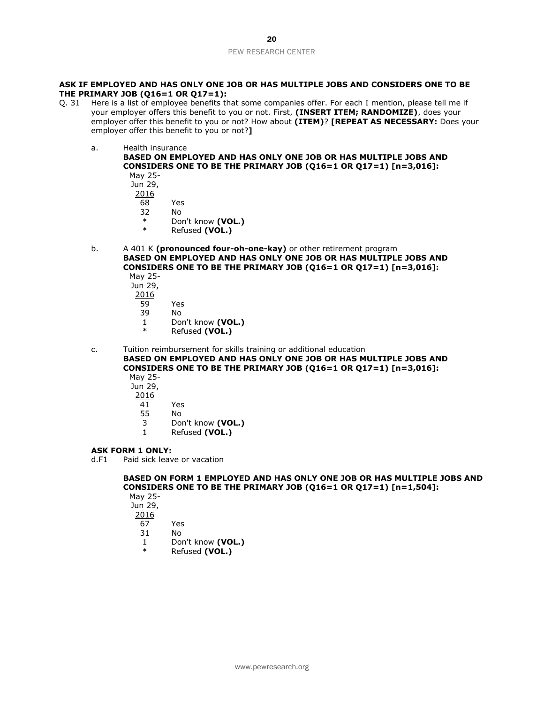## **ASK IF EMPLOYED AND HAS ONLY ONE JOB OR HAS MULTIPLE JOBS AND CONSIDERS ONE TO BE THE PRIMARY JOB (Q16=1 OR Q17=1):**

- Q. 31 Here is a list of employee benefits that some companies offer. For each I mention, please tell me if your employer offers this benefit to you or not. First, **(INSERT ITEM; RANDOMIZE)**, does your employer offer this benefit to you or not? How about **(ITEM)**? **[REPEAT AS NECESSARY:** Does your employer offer this benefit to you or not?**]**
	- a. Health insurance

**BASED ON EMPLOYED AND HAS ONLY ONE JOB OR HAS MULTIPLE JOBS AND CONSIDERS ONE TO BE THE PRIMARY JOB (Q16=1 OR Q17=1) [n=3,016]:**

May 25- Jun 29, 2016 68 Yes 32 No

- \* Don't know **(VOL.)**
- Refused (VOL.)
- b. A 401 K **(pronounced four-oh-one-kay)** or other retirement program **BASED ON EMPLOYED AND HAS ONLY ONE JOB OR HAS MULTIPLE JOBS AND CONSIDERS ONE TO BE THE PRIMARY JOB (Q16=1 OR Q17=1) [n=3,016]:**
	- May 25- Jun 29, 2016
		- 59 Yes
		- 39 No
		- 1 Don't know **(VOL.)**
		- Refused (VOL.)

c. Tuition reimbursement for skills training or additional education **BASED ON EMPLOYED AND HAS ONLY ONE JOB OR HAS MULTIPLE JOBS AND CONSIDERS ONE TO BE THE PRIMARY JOB (Q16=1 OR Q17=1) [n=3,016]:** May 25-

- Jun 29,
- 
- $\frac{2016}{41}$
- 41 Yes 55 No
- 3 Don't know **(VOL.)**
- 1 Refused **(VOL.)**

# **ASK FORM 1 ONLY:**

d.F1 Paid sick leave or vacation

# **BASED ON FORM 1 EMPLOYED AND HAS ONLY ONE JOB OR HAS MULTIPLE JOBS AND CONSIDERS ONE TO BE THE PRIMARY JOB (Q16=1 OR Q17=1) [n=1,504]:**

May 25- Jun 29, 2016 67 Yes 31 No

- 1 Don't know **(VOL.)**
- Refused (VOL.)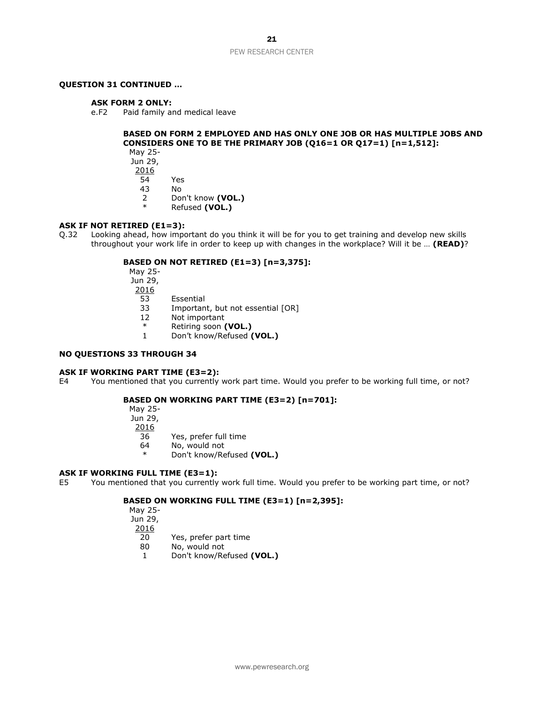# **QUESTION 31 CONTINUED …**

#### **ASK FORM 2 ONLY:**

e.F2 Paid family and medical leave

#### **BASED ON FORM 2 EMPLOYED AND HAS ONLY ONE JOB OR HAS MULTIPLE JOBS AND CONSIDERS ONE TO BE THE PRIMARY JOB (Q16=1 OR Q17=1) [n=1,512]:** May 25-

Jun 29, 2016 54 Yes

43 No

- 2 Don't know **(VOL.)**
- Refused (VOL.)

# **ASK IF NOT RETIRED (E1=3):**

Q.32 Looking ahead, how important do you think it will be for you to get training and develop new skills throughout your work life in order to keep up with changes in the workplace? Will it be … **(READ)**?

#### **BASED ON NOT RETIRED (E1=3) [n=3,375]:**

May 25- Jun 29, 2016 53 Essential

- 33 Important, but not essential [OR]<br>12 Not important
- Not important
- \* Retiring soon **(VOL.)** 1 Don't know/Refused **(VOL.)**

# **NO QUESTIONS 33 THROUGH 34**

#### **ASK IF WORKING PART TIME (E3=2):**

E4 You mentioned that you currently work part time. Would you prefer to be working full time, or not?

## **BASED ON WORKING PART TIME (E3=2) [n=701]:**

May 25- Jun 29, 2016 36 Yes, prefer full time 64 No, would not

\* Don't know/Refused **(VOL.)**

#### **ASK IF WORKING FULL TIME (E3=1):**

E5 You mentioned that you currently work full time. Would you prefer to be working part time, or not?

# **BASED ON WORKING FULL TIME (E3=1) [n=2,395]:**

May 25- Jun 29, 2016  $\overline{20}$  Yes, prefer part time<br>80 No. would not No, would not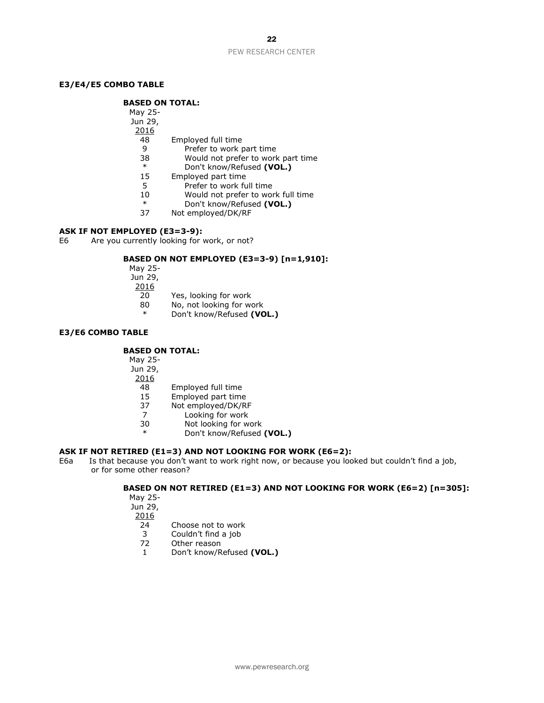# **E3/E4/E5 COMBO TABLE**

# **BASED ON TOTAL:**

| May 25- |                                    |
|---------|------------------------------------|
| Jun 29, |                                    |
| 2016    |                                    |
| 48      | Employed full time                 |
| 9       | Prefer to work part time           |
| 38      | Would not prefer to work part time |
| $\ast$  | Don't know/Refused (VOL.)          |
| 15      | Employed part time                 |
| 5       | Prefer to work full time           |
| 10      | Would not prefer to work full time |
| $\ast$  | Don't know/Refused (VOL.)          |
| 37      | Not employed/DK/RF                 |

## **ASK IF NOT EMPLOYED (E3=3-9):**

E6 Are you currently looking for work, or not?

# **BASED ON NOT EMPLOYED (E3=3-9) [n=1,910]:**

May 25-

Jun 29,

- 2016
- 20 Yes, looking for work 80 No, not looking for work
- \* Don't know/Refused **(VOL.)**
- 

# **E3/E6 COMBO TABLE**

## **BASED ON TOTAL:**

May 25-

Jun 29,

- $\frac{2016}{48}$
- 48 Employed full time<br>15 Employed part time
- 15 Employed part time
- 37 Not employed/DK/RF
- 7 Looking for work<br>30 Not looking for w
- Not looking for work
- \* Don't know/Refused **(VOL.)**

# **ASK IF NOT RETIRED (E1=3) AND NOT LOOKING FOR WORK (E6=2):**

E6a Is that because you don't want to work right now, or because you looked but couldn't find a job, or for some other reason?

# **BASED ON NOT RETIRED (E1=3) AND NOT LOOKING FOR WORK (E6=2) [n=305]:**

May 25- Jun 29, 2016

- 24 Choose not to work
- 3 Couldn't find a job<br>72 Other reason
- Other reason
- 1 Don't know/Refused **(VOL.)**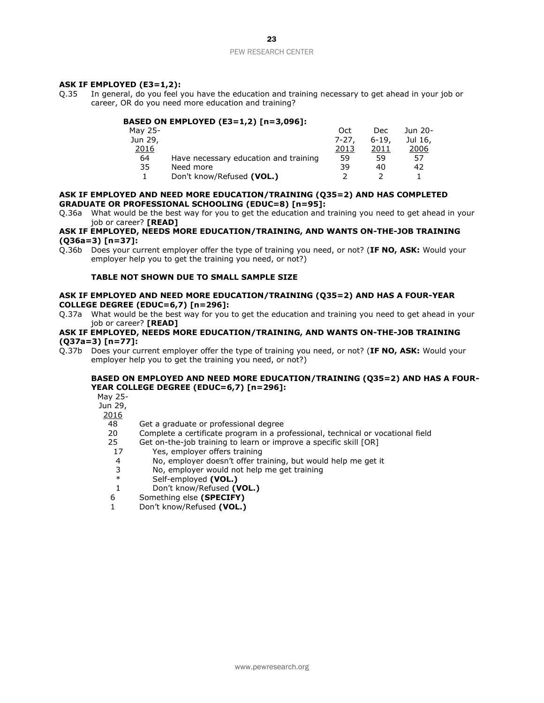# **ASK IF EMPLOYED (E3=1,2):**

Q.35 In general, do you feel you have the education and training necessary to get ahead in your job or career, OR do you need more education and training?

# **BASED ON EMPLOYED (E3=1,2) [n=3,096]:**

| Oct   | Dec   | Jun 20- |
|-------|-------|---------|
| 7-27. | 6-19. | Jul 16, |
| 2013  | 2011  | 2006    |
| 59    | 59    | 57      |
| 39    | 40    | 42      |
|       |       |         |
|       |       |         |

## **ASK IF EMPLOYED AND NEED MORE EDUCATION/TRAINING (Q35=2) AND HAS COMPLETED GRADUATE OR PROFESSIONAL SCHOOLING (EDUC=8) [n=95]:**

Q.36a What would be the best way for you to get the education and training you need to get ahead in your job or career? **[READ]**

#### **ASK IF EMPLOYED, NEEDS MORE EDUCATION/TRAINING, AND WANTS ON-THE-JOB TRAINING (Q36a=3) [n=37]:**

Q.36b Does your current employer offer the type of training you need, or not? (**IF NO, ASK:** Would your employer help you to get the training you need, or not?)

## **TABLE NOT SHOWN DUE TO SMALL SAMPLE SIZE**

## **ASK IF EMPLOYED AND NEED MORE EDUCATION/TRAINING (Q35=2) AND HAS A FOUR-YEAR COLLEGE DEGREE (EDUC=6,7) [n=296]:**

Q.37a What would be the best way for you to get the education and training you need to get ahead in your job or career? **[READ]** 

## **ASK IF EMPLOYED, NEEDS MORE EDUCATION/TRAINING, AND WANTS ON-THE-JOB TRAINING (Q37a=3) [n=77]:**

Q.37b Does your current employer offer the type of training you need, or not? (**IF NO, ASK:** Would your employer help you to get the training you need, or not?)

# **BASED ON EMPLOYED AND NEED MORE EDUCATION/TRAINING (Q35=2) AND HAS A FOUR-YEAR COLLEGE DEGREE (EDUC=6,7) [n=296]:**

May 25-

Jun 29,

- 2016
	- 48 Get a graduate or professional degree
	- 20 Complete a certificate program in a professional, technical or vocational field

25 Get on-the-job training to learn or improve a specific skill [OR]

- 17 Yes, employer offers training
- 4 No, employer doesn't offer training, but would help me get it<br>3 No, employer would not help me get training
- $3$  No, employer would not help me get training<br> $*$  Self-employed (VOL)
- Self-employed (VOL.)
- 1 Don't know/Refused **(VOL.)**
- 6 Something else **(SPECIFY)**
- 1 Don't know/Refused **(VOL.)**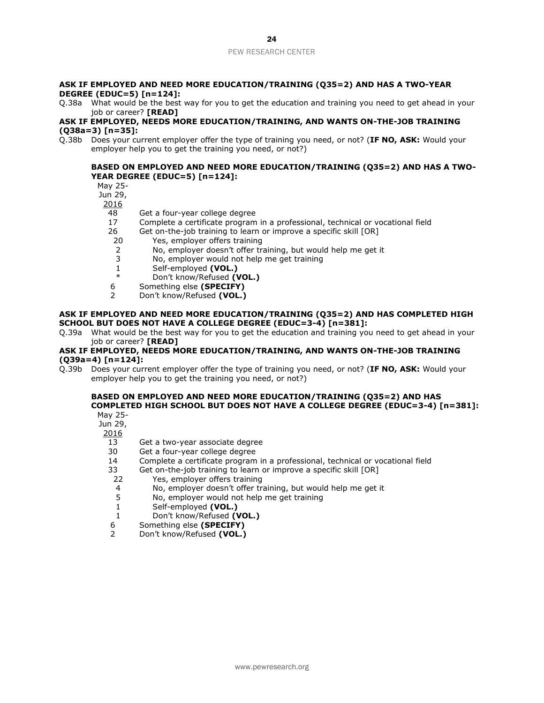## **ASK IF EMPLOYED AND NEED MORE EDUCATION/TRAINING (Q35=2) AND HAS A TWO-YEAR DEGREE (EDUC=5) [n=124]:**

Q.38a What would be the best way for you to get the education and training you need to get ahead in your job or career? **[READ]** 

## **ASK IF EMPLOYED, NEEDS MORE EDUCATION/TRAINING, AND WANTS ON-THE-JOB TRAINING (Q38a=3) [n=35]:**

Q.38b Does your current employer offer the type of training you need, or not? (**IF NO, ASK:** Would your employer help you to get the training you need, or not?)

# **BASED ON EMPLOYED AND NEED MORE EDUCATION/TRAINING (Q35=2) AND HAS A TWO-YEAR DEGREE (EDUC=5) [n=124]:**

May 25-

Jun 29,

2016

- 48 Get a four-year college degree
- 17 Complete a certificate program in a professional, technical or vocational field
- 26 Get on-the-job training to learn or improve a specific skill [OR]
- 20 Yes, employer offers training
- 2 No, employer doesn't offer training, but would help me get it<br>3 No, employer would not help me get training
- No, employer would not help me get training
- 1 Self-employed **(VOL.)**
- Don't know/Refused **(VOL.)**
- 6 Something else **(SPECIFY)**
- 2 Don't know/Refused **(VOL.)**

#### **ASK IF EMPLOYED AND NEED MORE EDUCATION/TRAINING (Q35=2) AND HAS COMPLETED HIGH SCHOOL BUT DOES NOT HAVE A COLLEGE DEGREE (EDUC=3-4) [n=381]:**

Q.39a What would be the best way for you to get the education and training you need to get ahead in your job or career? **[READ]** 

## **ASK IF EMPLOYED, NEEDS MORE EDUCATION/TRAINING, AND WANTS ON-THE-JOB TRAINING (Q39a=4) [n=124]:**

Q.39b Does your current employer offer the type of training you need, or not? (**IF NO, ASK:** Would your employer help you to get the training you need, or not?)

#### **BASED ON EMPLOYED AND NEED MORE EDUCATION/TRAINING (Q35=2) AND HAS COMPLETED HIGH SCHOOL BUT DOES NOT HAVE A COLLEGE DEGREE (EDUC=3-4) [n=381]:** May 25-

Jun 29,

- 2016
- 13 Get a two-year associate degree
- 30 Get a four-year college degree
- 14 Complete a certificate program in a professional, technical or vocational field
- 33 Get on-the-job training to learn or improve a specific skill [OR]
- 22 Yes, employer offers training
- 4 No, employer doesn't offer training, but would help me get it<br>5 No, employer would not help me get training
- No, employer would not help me get training
- 1 Self-employed **(VOL.)**
- 1 Don't know/Refused **(VOL.)**
- 6 Something else **(SPECIFY)**
- 2 Don't know/Refused **(VOL.)**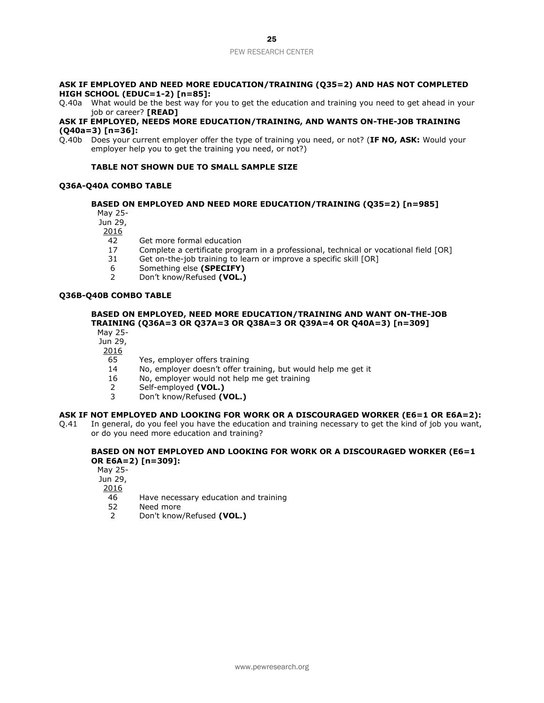#### **ASK IF EMPLOYED AND NEED MORE EDUCATION/TRAINING (Q35=2) AND HAS NOT COMPLETED HIGH SCHOOL (EDUC=1-2) [n=85]:**

Q.40a What would be the best way for you to get the education and training you need to get ahead in your job or career? **[READ]**

## **ASK IF EMPLOYED, NEEDS MORE EDUCATION/TRAINING, AND WANTS ON-THE-JOB TRAINING (Q40a=3) [n=36]:**

Q.40b Does your current employer offer the type of training you need, or not? (**IF NO, ASK:** Would your employer help you to get the training you need, or not?)

## **TABLE NOT SHOWN DUE TO SMALL SAMPLE SIZE**

## **Q36A-Q40A COMBO TABLE**

# **BASED ON EMPLOYED AND NEED MORE EDUCATION/TRAINING (Q35=2) [n=985]**

May 25-

Jun 29,

2016

- 42 Get more formal education
- 17 Complete a certificate program in a professional, technical or vocational field [OR]
- 31 Get on-the-job training to learn or improve a specific skill [OR]
	- 6 Something else **(SPECIFY)**
- 2 Don't know/Refused **(VOL.)**

#### **Q36B-Q40B COMBO TABLE**

#### **BASED ON EMPLOYED, NEED MORE EDUCATION/TRAINING AND WANT ON-THE-JOB TRAINING (Q36A=3 OR Q37A=3 OR Q38A=3 OR Q39A=4 OR Q40A=3) [n=309]**  May 25-

Jun 29,

2016

- 65 Yes, employer offers training
- 14 No, employer doesn't offer training, but would help me get it
- 16 No, employer would not help me get training
- 2 Self-employed **(VOL.)**
- 3 Don't know/Refused **(VOL.)**

#### **ASK IF NOT EMPLOYED AND LOOKING FOR WORK OR A DISCOURAGED WORKER (E6=1 OR E6A=2):**

Q.41 In general, do you feel you have the education and training necessary to get the kind of job you want, or do you need more education and training?

## **BASED ON NOT EMPLOYED AND LOOKING FOR WORK OR A DISCOURAGED WORKER (E6=1 OR E6A=2) [n=309]:**

May 25- Jun 29,

- 46 Have necessary education and training
- 52 Need more
- 2 Don't know/Refused **(VOL.)**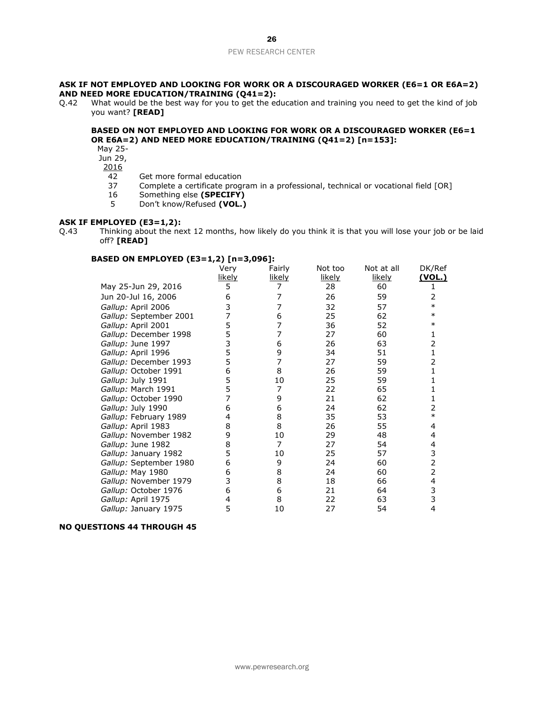## **ASK IF NOT EMPLOYED AND LOOKING FOR WORK OR A DISCOURAGED WORKER (E6=1 OR E6A=2) AND NEED MORE EDUCATION/TRAINING (Q41=2):**

Q.42 What would be the best way for you to get the education and training you need to get the kind of job you want? **[READ]** 

# **BASED ON NOT EMPLOYED AND LOOKING FOR WORK OR A DISCOURAGED WORKER (E6=1 OR E6A=2) AND NEED MORE EDUCATION/TRAINING (Q41=2) [n=153]:**

- May 25-
- Jun 29,
- $\frac{2016}{42}$ 
	- 42 Get more formal education<br>37 Complete a certificate progr
	- 37 Complete a certificate program in a professional, technical or vocational field [OR]<br>16 Something else (SPECIFY)
	- Something else (SPECIFY)
	- 5 Don't know/Refused **(VOL.)**

## **ASK IF EMPLOYED (E3=1,2):**

Q.43 Thinking about the next 12 months, how likely do you think it is that you will lose your job or be laid off? **[READ]**

# **BASED ON EMPLOYED (E3=1,2) [n=3,096]:**

|                        | Very   | Fairly        | Not too | Not at all | DK/Ref         |
|------------------------|--------|---------------|---------|------------|----------------|
|                        | likely | <u>likely</u> | likely  | likely     | <u>(VOL.)</u>  |
| May 25-Jun 29, 2016    | 5      |               | 28      | 60         |                |
| Jun 20-Jul 16, 2006    | 6      |               | 26      | 59         | 2              |
| Gallup: April 2006     | 3      | 7             | 32      | 57         | $\ast$         |
| Gallup: September 2001 | 7      | 6             | 25      | 62         | $\ast$         |
| Gallup: April 2001     | 5      | 7             | 36      | 52         | $\ast$         |
| Gallup: December 1998  | 5      | 7             | 27      | 60         | 1              |
| Gallup: June 1997      | 3      | 6             | 26      | 63         | 2              |
| Gallup: April 1996     | 5      | 9             | 34      | 51         | $\mathbf{1}$   |
| Gallup: December 1993  | 5      | 7             | 27      | 59         | 2              |
| Gallup: October 1991   | 6      | 8             | 26      | 59         |                |
| Gallup: July 1991      | 5      | 10            | 25      | 59         |                |
| Gallup: March 1991     | 5      | 7             | 22      | 65         |                |
| Gallup: October 1990   | 7      | 9             | 21      | 62         |                |
| Gallup: July 1990      | 6      | 6             | 24      | 62         | 2              |
| Gallup: February 1989  | 4      | 8             | 35      | 53         | $\ast$         |
| Gallup: April 1983     | 8      | 8             | 26      | 55         | 4              |
| Gallup: November 1982  | 9      | 10            | 29      | 48         | 4              |
| Gallup: June 1982      | 8      | 7             | 27      | 54         | 4              |
| Gallup: January 1982   | 5      | 10            | 25      | 57         | 3              |
| Gallup: September 1980 | 6      | 9             | 24      | 60         | $\overline{2}$ |
| Gallup: May 1980       | 6      | 8             | 24      | 60         | $\overline{2}$ |
| Gallup: November 1979  | 3      | 8             | 18      | 66         | 4              |
| Gallup: October 1976   | 6      | 6             | 21      | 64         | 3              |
| Gallup: April 1975     | 4      | 8             | 22      | 63         | 3              |
| Gallup: January 1975   | 5      | 10            | 27      | 54         | 4              |

## **NO QUESTIONS 44 THROUGH 45**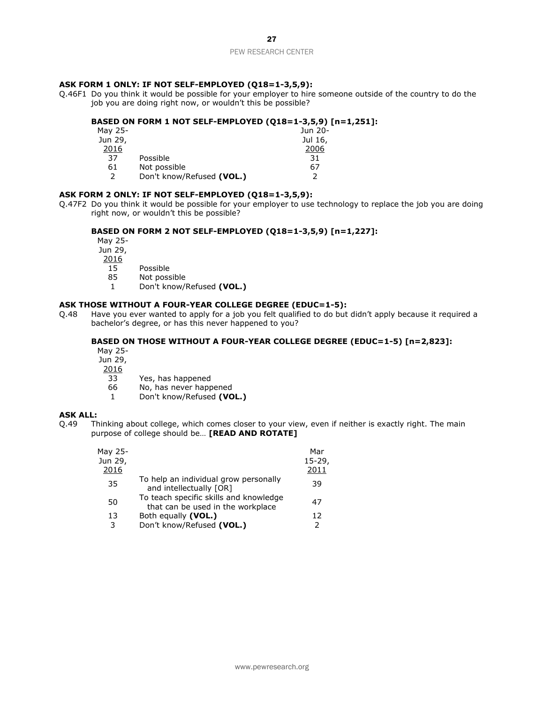# **ASK FORM 1 ONLY: IF NOT SELF-EMPLOYED (Q18=1-3,5,9):**

Q.46F1 Do you think it would be possible for your employer to hire someone outside of the country to do the job you are doing right now, or wouldn't this be possible?

#### **BASED ON FORM 1 NOT SELF-EMPLOYED (Q18=1-3,5,9) [n=1,251]:**  $M<sub>2</sub>$

| May 25-       |                           | Jun 20- |
|---------------|---------------------------|---------|
| Jun 29,       |                           | Jul 16, |
| 2016          |                           | 2006    |
| 37            | Possible                  | 31      |
| 61            | Not possible              | 67      |
| $\mathcal{P}$ | Don't know/Refused (VOL.) | っ       |

# **ASK FORM 2 ONLY: IF NOT SELF-EMPLOYED (Q18=1-3,5,9):**

Q.47F2 Do you think it would be possible for your employer to use technology to replace the job you are doing right now, or wouldn't this be possible?

## **BASED ON FORM 2 NOT SELF-EMPLOYED (Q18=1-3,5,9) [n=1,227]:**

May 25- Jun 29,

- $\frac{2016}{15}$
- 15 Possible<br>85 Not poss
- Not possible
- 1 Don't know/Refused **(VOL.)**

## **ASK THOSE WITHOUT A FOUR-YEAR COLLEGE DEGREE (EDUC=1-5):**

Q.48 Have you ever wanted to apply for a job you felt qualified to do but didn't apply because it required a bachelor's degree, or has this never happened to you?

# **BASED ON THOSE WITHOUT A FOUR-YEAR COLLEGE DEGREE (EDUC=1-5) [n=2,823]:**

May 25-

Jun 29,

- 2016
	- 33 Yes, has happened
	- 66 No, has never happened
	- 1 Don't know/Refused **(VOL.)**

# **ASK ALL:**

Q.49 Thinking about college, which comes closer to your view, even if neither is exactly right. The main purpose of college should be… **[READ AND ROTATE]**

| May 25- |                                                                             | Mar       |
|---------|-----------------------------------------------------------------------------|-----------|
| Jun 29, |                                                                             | $15-29$ , |
| 2016    |                                                                             | 2011      |
| 35      | To help an individual grow personally<br>and intellectually [OR]            | 39        |
| 50      | To teach specific skills and knowledge<br>that can be used in the workplace | 47        |
| 13      | Both equally (VOL.)                                                         | 12        |
| 3       | Don't know/Refused (VOL.)                                                   |           |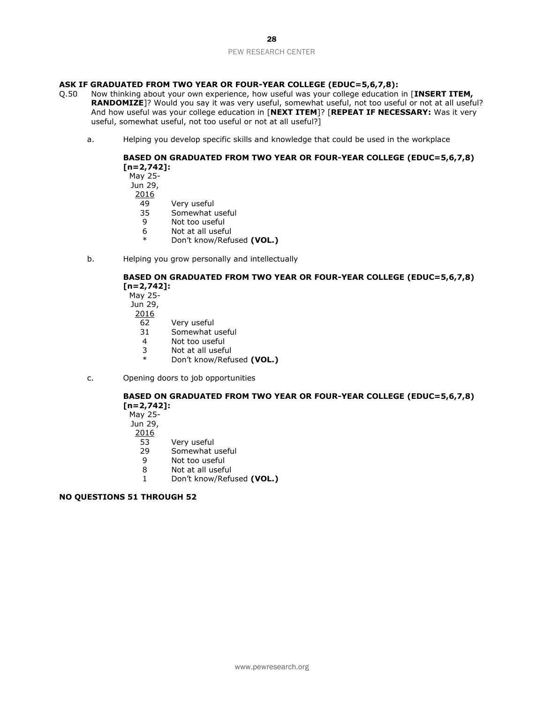# **ASK IF GRADUATED FROM TWO YEAR OR FOUR-YEAR COLLEGE (EDUC=5,6,7,8):**

- Q.50 Now thinking about your own experience, how useful was your college education in [**INSERT ITEM, RANDOMIZE**]? Would you say it was very useful, somewhat useful, not too useful or not at all useful? And how useful was your college education in [**NEXT ITEM**]? [**REPEAT IF NECESSARY:** Was it very useful, somewhat useful, not too useful or not at all useful?]
	- a. Helping you develop specific skills and knowledge that could be used in the workplace

# **BASED ON GRADUATED FROM TWO YEAR OR FOUR-YEAR COLLEGE (EDUC=5,6,7,8) [n=2,742]:**

May 25- Jun 29, 2016 49 Very useful 35 Somewhat useful

- 9 Not too useful
- 6 Not at all useful
- Don't know/Refused (VOL.)
- b. Helping you grow personally and intellectually

# **BASED ON GRADUATED FROM TWO YEAR OR FOUR-YEAR COLLEGE (EDUC=5,6,7,8) [n=2,742]:**

May 25- Jun 29,

- 2016
	- 62 Very useful
	- 31 Somewhat useful
	- 4 Not too useful
	- 3 Not at all useful
	- \* Don't know/Refused **(VOL.)**
- c. Opening doors to job opportunities

# **BASED ON GRADUATED FROM TWO YEAR OR FOUR-YEAR COLLEGE (EDUC=5,6,7,8) [n=2,742]:**

May 25-

Jun 29,

- 2016
- 53 Very useful<br>29 Somewhat u
- 29 Somewhat useful<br>9 Not too useful
- Not too useful
- 8 Not at all useful
- 1 Don't know/Refused **(VOL.)**

# **NO QUESTIONS 51 THROUGH 52**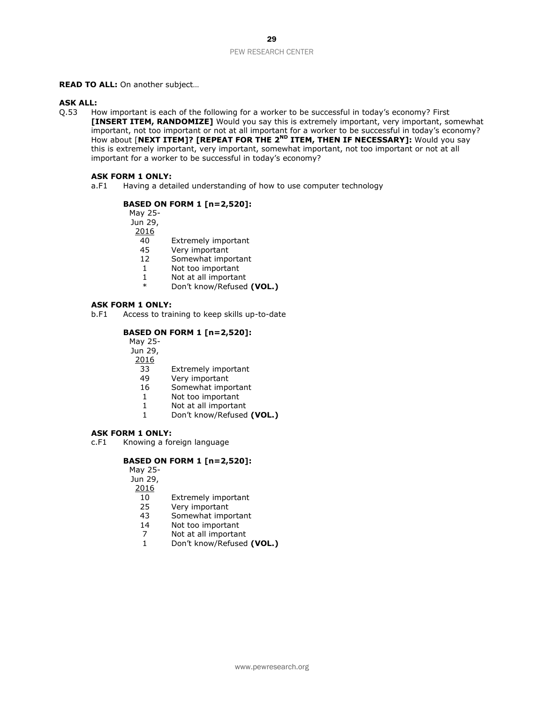#### **READ TO ALL:** On another subject…

## **ASK ALL:**

Q.53 How important is each of the following for a worker to be successful in today's economy? First **[INSERT ITEM, RANDOMIZE]** Would you say this is extremely important, very important, somewhat important, not too important or not at all important for a worker to be successful in today's economy? How about [NEXT ITEM]? [REPEAT FOR THE 2<sup>ND</sup> ITEM, THEN IF NECESSARY]: Would you say this is extremely important, very important, somewhat important, not too important or not at all important for a worker to be successful in today's economy?

## **ASK FORM 1 ONLY:**

a.F1 Having a detailed understanding of how to use computer technology

# **BASED ON FORM 1 [n=2,520]:**

May 25-

Jun 29,

2016

- 40 Extremely important
- 45 Very important<br>12 Somewhat import
- 12 Somewhat important<br>1 Not too important
- 1 Not too important<br>1 Not at all important
- Not at all important
- \* Don't know/Refused **(VOL.)**

#### **ASK FORM 1 ONLY:**

b.F1 Access to training to keep skills up-to-date

# **BASED ON FORM 1 [n=2,520]:**

May 25-

- Jun 29,
- 2016
	- 33 Extremely important
	- 49 Very important
	- 16 Somewhat important
	- 1 Not too important
	- 1 Not at all important
	- 1 Don't know/Refused **(VOL.)**

## **ASK FORM 1 ONLY:**

c.F1 Knowing a foreign language

# **BASED ON FORM 1 [n=2,520]:**

May 25-

Jun 29,

- 2016
	- 10 Extremely important
	- 25 Very important
	- 43 Somewhat important
	- 14 Not too important
	- 7 Not at all important
	- 1 Don't know/Refused **(VOL.)**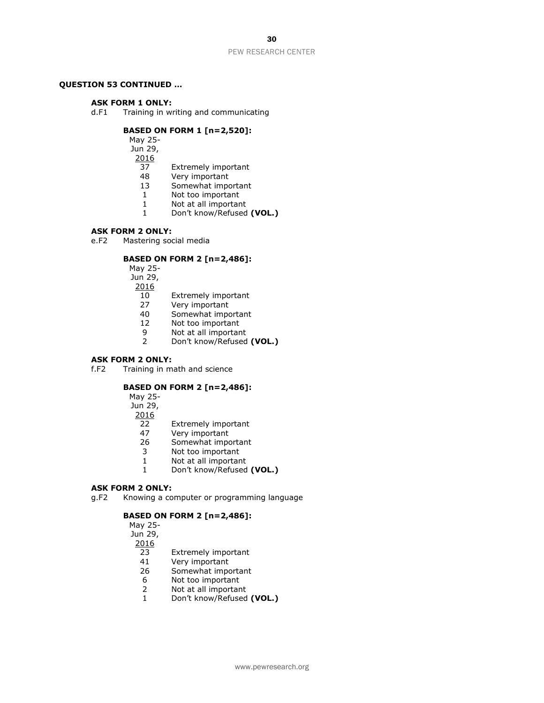## **QUESTION 53 CONTINUED …**

#### **ASK FORM 1 ONLY:**

d.F1 Training in writing and communicating

#### **BASED ON FORM 1 [n=2,520]:**

May 25-

Jun 29,

2016

- 37 Extremely important<br>48 Verv important
- Very important
- 13 Somewhat important<br>1 Not too important
- Not too important
- 1 Not at all important
	- 1 Don't know/Refused **(VOL.)**

#### **ASK FORM 2 ONLY:**

e.F2 Mastering social media

# **BASED ON FORM 2 [n=2,486]:**

May 25-

Jun 29,

- 2016
	- 10 Extremely important
	- 27 Very important
- 40 Somewhat important
- 12 Not too important
- 9 Not at all important<br>2 Don't know/Refused
- 2 Don't know/Refused **(VOL.)**

#### **ASK FORM 2 ONLY:**

f.F2 Training in math and science

# **BASED ON FORM 2 [n=2,486]:**

May 25-

- Jun 29,
- 2016
	- 22 Extremely important
	- 47 Very important
- 26 Somewhat important
- 3 Not too important<br>1 Not at all importan
- 1 Not at all important<br>1 Don't know/Refused
- 1 Don't know/Refused **(VOL.)**

# **ASK FORM 2 ONLY:**

g.F2 Knowing a computer or programming language

## **BASED ON FORM 2 [n=2,486]:**

May 25- Jun 29, 2016 23 Extremely important

- 41 Very important
- 26 Somewhat important
- 6 Not too important
- 2 Not at all important
- 1 Don't know/Refused **(VOL.)**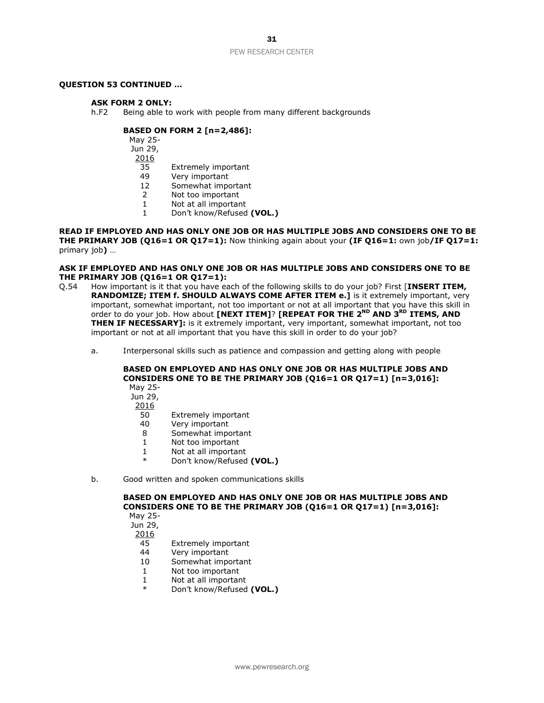## **QUESTION 53 CONTINUED …**

#### **ASK FORM 2 ONLY:**

h.F2 Being able to work with people from many different backgrounds

## **BASED ON FORM 2 [n=2,486]:**

May 25- Jun 29,

2016

- 35 Extremely important
- 49 Very important
- 12 Somewhat important
- 2 Not too important
- 1 Not at all important
- 1 Don't know/Refused **(VOL.)**

**READ IF EMPLOYED AND HAS ONLY ONE JOB OR HAS MULTIPLE JOBS AND CONSIDERS ONE TO BE THE PRIMARY JOB (Q16=1 OR Q17=1):** Now thinking again about your **(IF Q16=1:** own job**/IF Q17=1:**  primary job**)** …

#### **ASK IF EMPLOYED AND HAS ONLY ONE JOB OR HAS MULTIPLE JOBS AND CONSIDERS ONE TO BE THE PRIMARY JOB (Q16=1 OR Q17=1):**

- Q.54 How important is it that you have each of the following skills to do your job? First [**INSERT ITEM, RANDOMIZE; ITEM f. SHOULD ALWAYS COME AFTER ITEM e.]** is it extremely important, very important, somewhat important, not too important or not at all important that you have this skill in order to do your job. How about **[NEXT ITEM]**? **[REPEAT FOR THE 2ND AND 3RD ITEMS, AND THEN IF NECESSARY]:** is it extremely important, very important, somewhat important, not too important or not at all important that you have this skill in order to do your job?
	- a. Interpersonal skills such as patience and compassion and getting along with people

#### **BASED ON EMPLOYED AND HAS ONLY ONE JOB OR HAS MULTIPLE JOBS AND CONSIDERS ONE TO BE THE PRIMARY JOB (Q16=1 OR Q17=1) [n=3,016]:** May 25-

- Jun 29,
- 2016
- 50 Extremely important
- 40 Very important
- 8 Somewhat important
- 1 Not too important
- 1 Not at all important<br>  $*$  Dep't know (Petused
- Don't know/Refused (VOL.)
- b. Good written and spoken communications skills

# **BASED ON EMPLOYED AND HAS ONLY ONE JOB OR HAS MULTIPLE JOBS AND CONSIDERS ONE TO BE THE PRIMARY JOB (Q16=1 OR Q17=1) [n=3,016]:**

May 25-

Jun 29,

- 2016
- 45 Extremely important
- 44 Very important
- 10 Somewhat important
- 1 Not too important
- 1 Not at all important
- \* Don't know/Refused **(VOL.)**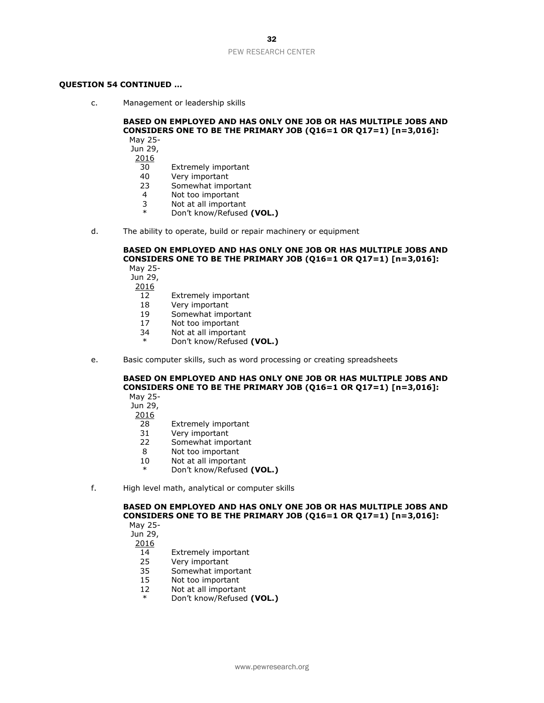#### **QUESTION 54 CONTINUED …**

c. Management or leadership skills

#### **BASED ON EMPLOYED AND HAS ONLY ONE JOB OR HAS MULTIPLE JOBS AND CONSIDERS ONE TO BE THE PRIMARY JOB (Q16=1 OR Q17=1) [n=3,016]:** May 25-

Jun 29,

- 2016
	- 30 Extremely important<br>40 Verv important
	- Very important
	- 23 Somewhat important<br>4 Not too important
	- Not too important
	- 3 Not at all important<br>\* Den't know (Petused
	- Don't know/Refused **(VOL.)**
- d. The ability to operate, build or repair machinery or equipment

#### **BASED ON EMPLOYED AND HAS ONLY ONE JOB OR HAS MULTIPLE JOBS AND CONSIDERS ONE TO BE THE PRIMARY JOB (Q16=1 OR Q17=1) [n=3,016]:** May 25-

Jun 29,

- 2016
- 12 Extremely important
- 18 Very important
- 19 Somewhat important
- 17 Not too important
- 34 Not at all important
- Don't know/Refused (VOL.)
- e. Basic computer skills, such as word processing or creating spreadsheets

# **BASED ON EMPLOYED AND HAS ONLY ONE JOB OR HAS MULTIPLE JOBS AND CONSIDERS ONE TO BE THE PRIMARY JOB (Q16=1 OR Q17=1) [n=3,016]:**

May 25-

Jun 29,

- 2016
- 28 Extremely important
- 31 Very important
- 22 Somewhat important
- 8 Not too important<br>10 Not at all importan
- Not at all important
- Don't know/Refused (VOL.)
- f. High level math, analytical or computer skills

# **BASED ON EMPLOYED AND HAS ONLY ONE JOB OR HAS MULTIPLE JOBS AND CONSIDERS ONE TO BE THE PRIMARY JOB (Q16=1 OR Q17=1) [n=3,016]:**

May 25-

Jun 29,

- 14 Extremely important
- 25 Very important
- 35 Somewhat important
- 15 Not too important
- 12 Not at all important
- \* Don't know/Refused **(VOL.)**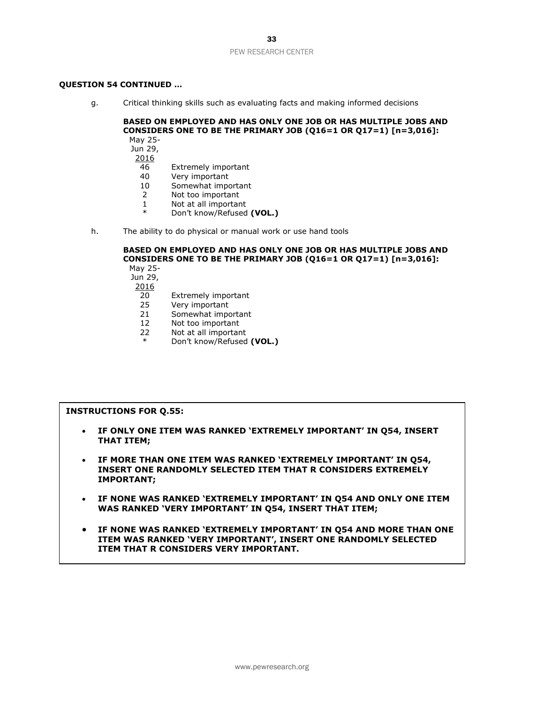## **QUESTION 54 CONTINUED …**

g. Critical thinking skills such as evaluating facts and making informed decisions

#### **BASED ON EMPLOYED AND HAS ONLY ONE JOB OR HAS MULTIPLE JOBS AND CONSIDERS ONE TO BE THE PRIMARY JOB (Q16=1 OR Q17=1) [n=3,016]:** May 25-

Jun 29,

- 2016
	- 46 Extremely important<br>40 Verv important
	- Very important
	- 10 Somewhat important
	- 2 Not too important
	- 1 Not at all important
	- \* Don't know/Refused **(VOL.)**
- h. The ability to do physical or manual work or use hand tools

#### **BASED ON EMPLOYED AND HAS ONLY ONE JOB OR HAS MULTIPLE JOBS AND CONSIDERS ONE TO BE THE PRIMARY JOB (Q16=1 OR Q17=1) [n=3,016]:** May 25-

Jun 29,

- 2016 20 Extremely important
- 25 Very important
- 21 Somewhat important
- 12 Not too important
- 
- 22 Not at all important<br>  $*$  Don't know/Pofused Don't know/Refused (VOL.)

# **INSTRUCTIONS FOR Q.55:**

- **IF ONLY ONE ITEM WAS RANKED 'EXTREMELY IMPORTANT' IN Q54, INSERT THAT ITEM;**
- **IF MORE THAN ONE ITEM WAS RANKED 'EXTREMELY IMPORTANT' IN Q54, INSERT ONE RANDOMLY SELECTED ITEM THAT R CONSIDERS EXTREMELY IMPORTANT;**
- **IF NONE WAS RANKED 'EXTREMELY IMPORTANT' IN Q54 AND ONLY ONE ITEM WAS RANKED 'VERY IMPORTANT' IN Q54, INSERT THAT ITEM;**
- **IF NONE WAS RANKED 'EXTREMELY IMPORTANT' IN Q54 AND MORE THAN ONE ITEM WAS RANKED 'VERY IMPORTANT', INSERT ONE RANDOMLY SELECTED ITEM THAT R CONSIDERS VERY IMPORTANT.**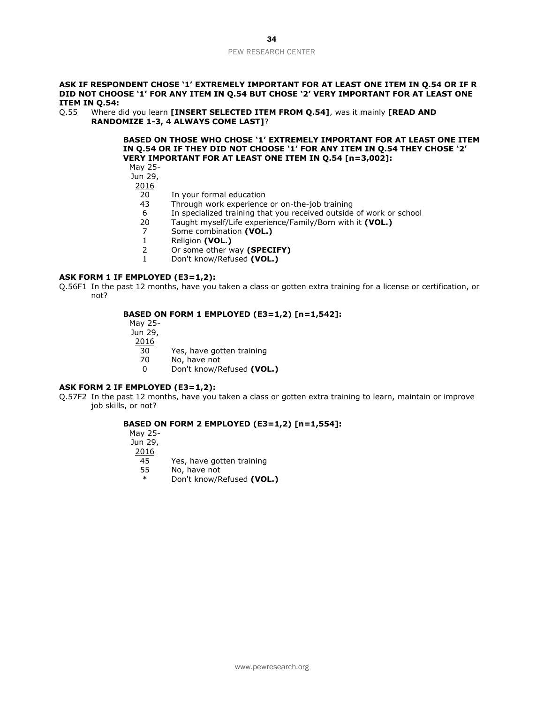#### **ASK IF RESPONDENT CHOSE '1' EXTREMELY IMPORTANT FOR AT LEAST ONE ITEM IN Q.54 OR IF R DID NOT CHOOSE '1' FOR ANY ITEM IN Q.54 BUT CHOSE '2' VERY IMPORTANT FOR AT LEAST ONE ITEM IN Q.54:**

Q.55 Where did you learn **[INSERT SELECTED ITEM FROM Q.54]**, was it mainly **[READ AND RANDOMIZE 1-3, 4 ALWAYS COME LAST]**?

> **BASED ON THOSE WHO CHOSE '1' EXTREMELY IMPORTANT FOR AT LEAST ONE ITEM IN Q.54 OR IF THEY DID NOT CHOOSE '1' FOR ANY ITEM IN Q.54 THEY CHOSE '2' VERY IMPORTANT FOR AT LEAST ONE ITEM IN Q.54 [n=3,002]:**

May 25-

Jun 29,

2016

- 20 In your formal education
- 43 Through work experience or on-the-job training
- 6 In specialized training that you received outside of work or school<br>20 Taught myself/Life experience/Family/Born with it (VOL.)
- 20 Taught myself/Life experience/Family/Born with it **(VOL.)**
- 7 Some combination **(VOL.)**
- 1 Religion **(VOL.)**
- 2 Or some other way **(SPECIFY)**
- 1 Don't know/Refused **(VOL.)**

# **ASK FORM 1 IF EMPLOYED (E3=1,2):**

Q.56F1 In the past 12 months, have you taken a class or gotten extra training for a license or certification, or not?

#### **BASED ON FORM 1 EMPLOYED (E3=1,2) [n=1,542]:**

May 25-

Jun 29,

 $\frac{2016}{30}$ 

Yes, have gotten training

70 No, have not

0 Don't know/Refused **(VOL.)**

#### **ASK FORM 2 IF EMPLOYED (E3=1,2):**

Q.57F2 In the past 12 months, have you taken a class or gotten extra training to learn, maintain or improve job skills, or not?

# **BASED ON FORM 2 EMPLOYED (E3=1,2) [n=1,554]:**

May 25-

Jun 29,

2016

45 Yes, have gotten training<br>55 No, have not

No, have not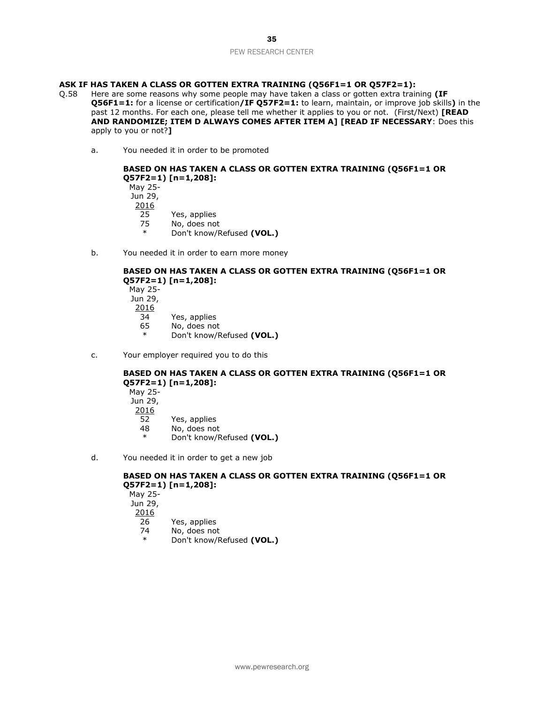# **ASK IF HAS TAKEN A CLASS OR GOTTEN EXTRA TRAINING (Q56F1=1 OR Q57F2=1):**

- Q.58 Here are some reasons why some people may have taken a class or gotten extra training **(IF Q56F1=1:** for a license or certification**/IF Q57F2=1:** to learn, maintain, or improve job skills**)** in the past 12 months. For each one, please tell me whether it applies to you or not. (First/Next) **[READ AND RANDOMIZE; ITEM D ALWAYS COMES AFTER ITEM A] [READ IF NECESSARY**: Does this apply to you or not?**]**
	- a. You needed it in order to be promoted

# **BASED ON HAS TAKEN A CLASS OR GOTTEN EXTRA TRAINING (Q56F1=1 OR Q57F2=1) [n=1,208]:**

May 25- Jun 29, 2016 25 Yes, applies<br>75 No. does not No, does not \* Don't know/Refused **(VOL.)**

b. You needed it in order to earn more money

# **BASED ON HAS TAKEN A CLASS OR GOTTEN EXTRA TRAINING (Q56F1=1 OR Q57F2=1) [n=1,208]:**

May 25- Jun 29, 2016 34 Yes, applies 65 No, does not \* Don't know/Refused **(VOL.)**

c. Your employer required you to do this

# **BASED ON HAS TAKEN A CLASS OR GOTTEN EXTRA TRAINING (Q56F1=1 OR Q57F2=1) [n=1,208]:**

May 25- Jun 29, 2016 52 Yes, applies 48 No, does not \* Don't know/Refused **(VOL.)**

d. You needed it in order to get a new job

# **BASED ON HAS TAKEN A CLASS OR GOTTEN EXTRA TRAINING (Q56F1=1 OR Q57F2=1) [n=1,208]:**

May 25- Jun 29, 2016 26 Yes, applies 74 No, does not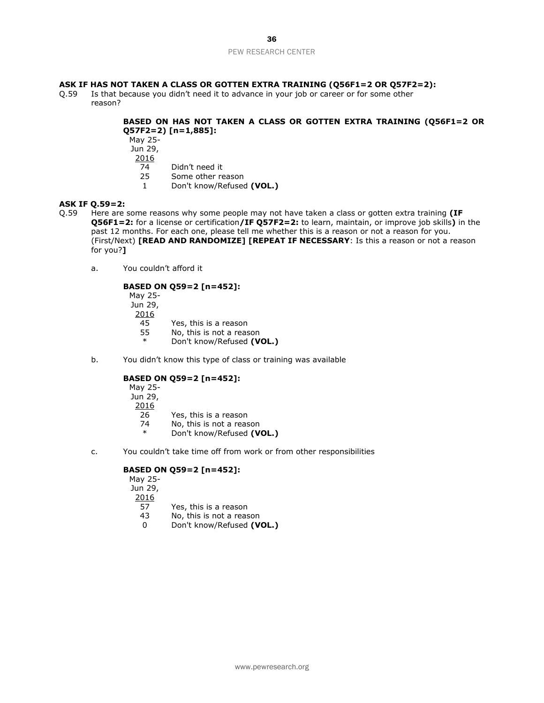# **ASK IF HAS NOT TAKEN A CLASS OR GOTTEN EXTRA TRAINING (Q56F1=2 OR Q57F2=2):**

Q.59 Is that because you didn't need it to advance in your job or career or for some other reason?

# **BASED ON HAS NOT TAKEN A CLASS OR GOTTEN EXTRA TRAINING (Q56F1=2 OR Q57F2=2) [n=1,885]:**

- May 25-
- Jun 29,
- 2016
	- 74 Didn't need it<br>25 Some other re
	- Some other reason
	- 1 Don't know/Refused **(VOL.)**

## **ASK IF Q.59=2:**

- Q.59 Here are some reasons why some people may not have taken a class or gotten extra training **(IF Q56F1=2:** for a license or certification**/IF Q57F2=2:** to learn, maintain, or improve job skills**)** in the past 12 months. For each one, please tell me whether this is a reason or not a reason for you. (First/Next) **[READ AND RANDOMIZE] [REPEAT IF NECESSARY**: Is this a reason or not a reason for you?**]**
	- a. You couldn't afford it

# **BASED ON Q59=2 [n=452]:**

May 25- Jun 29, 2016 45 Yes, this is a reason<br>55 No. this is not a reas

- 55 No, this is not a reason<br> $*$  Don't know/Pefused (V Don't know/Refused (VOL.)
- b. You didn't know this type of class or training was available

# **BASED ON Q59=2 [n=452]:**

- May 25- Jun 29, 2016
	- 26 Yes, this is a reason
	- 74 No, this is not a reason
	- \* Don't know/Refused **(VOL.)**
- c. You couldn't take time off from work or from other responsibilities

# **BASED ON Q59=2 [n=452]:**

May 25- Jun 29, 2016 57 Yes, this is a reason 43 No, this is not a reason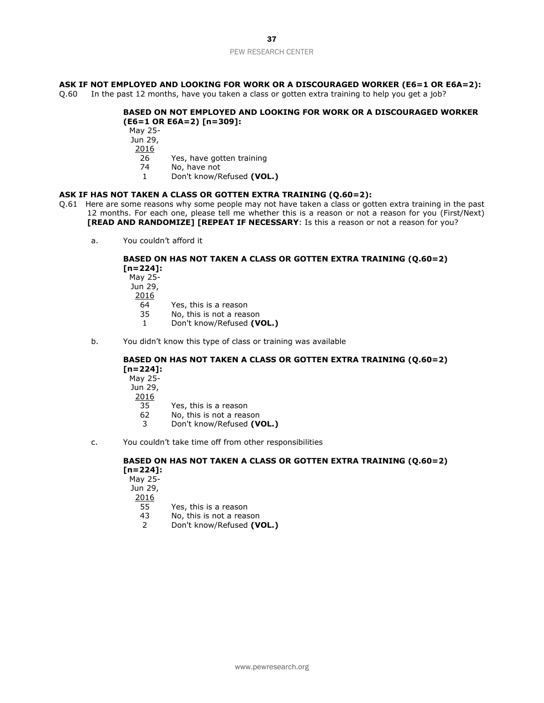# **ASK IF NOT EMPLOYED AND LOOKING FOR WORK OR A DISCOURAGED WORKER (E6=1 OR E6A=2):**

Q.60 In the past 12 months, have you taken a class or gotten extra training to help you get a job?

# **BASED ON NOT EMPLOYED AND LOOKING FOR WORK OR A DISCOURAGED WORKER (E6=1 OR E6A=2) [n=309]:**

May 25- Jun 29, 2016 26 Yes, have gotten training 74 No, have not

1 Don't know/Refused **(VOL.)**

## **ASK IF HAS NOT TAKEN A CLASS OR GOTTEN EXTRA TRAINING (Q.60=2):**

- Q.61 Here are some reasons why some people may not have taken a class or gotten extra training in the past 12 months. For each one, please tell me whether this is a reason or not a reason for you (First/Next) **[READ AND RANDOMIZE] [REPEAT IF NECESSARY**: Is this a reason or not a reason for you?
	- a. You couldn't afford it

# **BASED ON HAS NOT TAKEN A CLASS OR GOTTEN EXTRA TRAINING (Q.60=2) [n=224]:**

May 25- Jun 29, 2016 64 Yes, this is a reason

- 35 No, this is not a reason
- 1 Don't know/Refused **(VOL.)**
- b. You didn't know this type of class or training was available

# **BASED ON HAS NOT TAKEN A CLASS OR GOTTEN EXTRA TRAINING (Q.60=2) [n=224]:**

- May 25- Jun 29,
- 2016
	- 35 Yes, this is a reason
	- 62 No, this is not a reason
	- 3 Don't know/Refused **(VOL.)**
- c. You couldn't take time off from other responsibilities

# **BASED ON HAS NOT TAKEN A CLASS OR GOTTEN EXTRA TRAINING (Q.60=2) [n=224]:**

May 25- Jun 29, 2016 55 Yes, this is a reason 43 No, this is not a reason 2 Don't know/Refused **(VOL.)**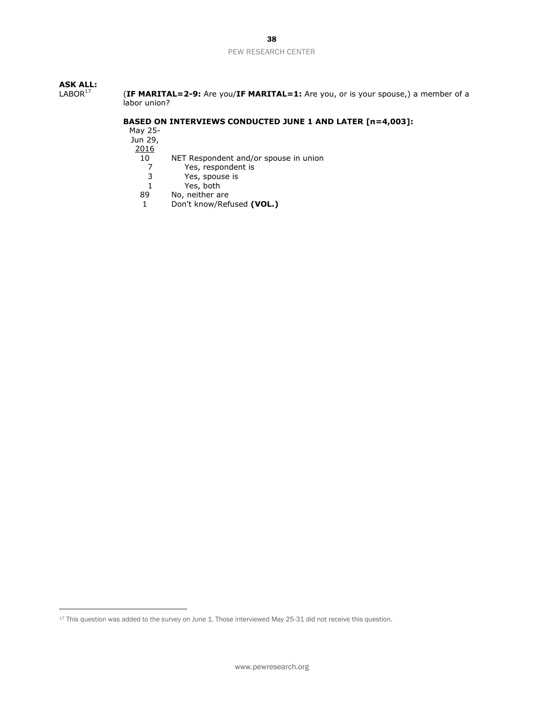# **ASK ALL:**

(IF MARITAL=2-9: Are you/IF MARITAL=1: Are you, or is your spouse,) a member of a labor union?

## **BASED ON INTERVIEWS CONDUCTED JUNE 1 AND LATER [n=4,003]:**

May 25-

Jun 29,

2016

- 10 NET Respondent and/or spouse in union<br>7 Yes, respondent is
	- 7 Yes, respondent is<br>3 Yes, spouse is
	- 3 Yes, spouse is
- 1 Yes, both<br>89 No, neither a
- No, neither are
- 1 Don't know/Refused **(VOL.)**

www.pewresearch.org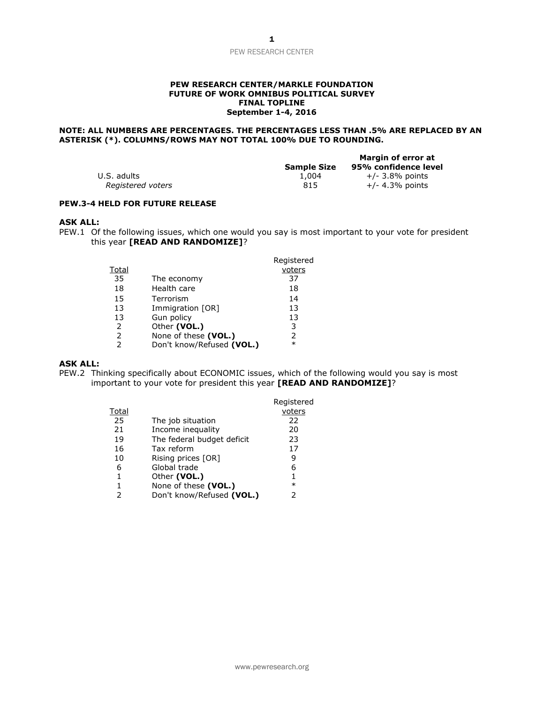#### **PEW RESEARCH CENTER/MARKLE FOUNDATION FUTURE OF WORK OMNIBUS POLITICAL SURVEY FINAL TOPLINE September 1-4, 2016**

# **NOTE: ALL NUMBERS ARE PERCENTAGES. THE PERCENTAGES LESS THAN .5% ARE REPLACED BY AN ASTERISK (\*). COLUMNS/ROWS MAY NOT TOTAL 100% DUE TO ROUNDING.**

|                   | <b>Sample Size</b> | Margin of error at<br>95% confidence level |
|-------------------|--------------------|--------------------------------------------|
| U.S. adults       | 1,004              | $+/-$ 3.8% points                          |
| Registered voters | 815                | $+/- 4.3%$ points                          |

# **PEW.3-4 HELD FOR FUTURE RELEASE**

#### **ASK ALL:**

PEW.1 Of the following issues, which one would you say is most important to your vote for president this year **[READ AND RANDOMIZE]**?

|               |                           | Registered    |
|---------------|---------------------------|---------------|
| Total         |                           | voters        |
| 35            | The economy               | 37            |
| 18            | Health care               | 18            |
| 15            | Terrorism                 | 14            |
| 13            | Immigration [OR]          | 13            |
| 13            | Gun policy                | 13            |
| 2             | Other (VOL.)              | 3             |
| 2             | None of these (VOL.)      | $\mathcal{P}$ |
| $\mathcal{P}$ | Don't know/Refused (VOL.) | $\ast$        |

#### **ASK ALL:**

PEW.2 Thinking specifically about ECONOMIC issues, which of the following would you say is most important to your vote for president this year **[READ AND RANDOMIZE]**?

|       |                            | Registered |
|-------|----------------------------|------------|
| Total |                            | voters     |
| 25    | The job situation          | 22         |
| 21    | Income inequality          | 20         |
| 19    | The federal budget deficit | 23         |
| 16    | Tax reform                 | 17         |
| 10    | Rising prices [OR]         | 9          |
| 6     | Global trade               | 6          |
| 1     | Other (VOL.)               | 1          |
|       | None of these (VOL.)       | $\ast$     |
| 2     | Don't know/Refused (VOL.)  |            |
|       |                            |            |